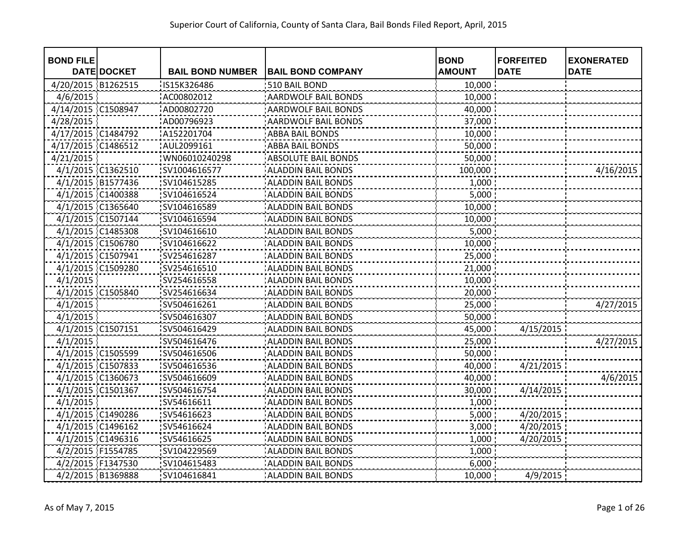| <b>BOND FILE</b>   |                    |                         |                            | <b>BOND</b>   | <b>FORFEITED</b> | <b>EXONERATED</b> |
|--------------------|--------------------|-------------------------|----------------------------|---------------|------------------|-------------------|
|                    | <b>DATE DOCKET</b> | <b>BAIL BOND NUMBER</b> | <b>BAIL BOND COMPANY</b>   | <b>AMOUNT</b> | <b>DATE</b>      | <b>DATE</b>       |
| 4/20/2015 B1262515 |                    | IS15K326486             | 510 BAIL BOND              | 10,000        |                  |                   |
| 4/6/2015           |                    | AC00802012              | AARDWOLF BAIL BONDS        | 10,000        |                  |                   |
| 4/14/2015          | C1508947           | AD00802720              | <b>AARDWOLF BAIL BONDS</b> | 40,000        |                  |                   |
| 4/28/2015          |                    | AD00796923              | <b>AARDWOLF BAIL BONDS</b> | 37,000        |                  |                   |
| 4/17/2015 C1484792 |                    | A152201704              | <b>ABBA BAIL BONDS</b>     | 10,000        |                  |                   |
| 4/17/2015 C1486512 |                    | AUL2099161              | <b>ABBA BAIL BONDS</b>     | 50,000        |                  |                   |
| 4/21/2015          |                    | WN06010240298           | <b>ABSOLUTE BAIL BONDS</b> | 50,000        |                  |                   |
|                    | 4/1/2015 C1362510  | SV1004616577            | <b>ALADDIN BAIL BONDS</b>  | 100,000       |                  | 4/16/2015         |
|                    | 4/1/2015 B1577436  | SV104615285             | <b>ALADDIN BAIL BONDS</b>  | 1,000         |                  |                   |
|                    | 4/1/2015 C1400388  | SV104616524             | <b>ALADDIN BAIL BONDS</b>  | 5,000         |                  |                   |
|                    | 4/1/2015 C1365640  | SV104616589             | <b>ALADDIN BAIL BONDS</b>  | 10,000        |                  |                   |
|                    | 4/1/2015 C1507144  | SV104616594             | <b>ALADDIN BAIL BONDS</b>  | 10,000        |                  |                   |
|                    | 4/1/2015 C1485308  | SV104616610             | <b>ALADDIN BAIL BONDS</b>  | 5,000         |                  |                   |
|                    | 4/1/2015 C1506780  | SV104616622             | <b>ALADDIN BAIL BONDS</b>  | 10,000        |                  |                   |
| 4/1/2015 C1507941  |                    | SV254616287             | <b>ALADDIN BAIL BONDS</b>  | 25,000        |                  |                   |
|                    | 4/1/2015 C1509280  | SV254616510             | <b>ALADDIN BAIL BONDS</b>  | 21,000        |                  |                   |
| 4/1/2015           |                    | SV254616558             | <b>ALADDIN BAIL BONDS</b>  | 10,000        |                  |                   |
|                    | 4/1/2015 C1505840  | SV254616634             | <b>ALADDIN BAIL BONDS</b>  | 20,000        |                  |                   |
| 4/1/2015           |                    | SV504616261             | <b>ALADDIN BAIL BONDS</b>  | 25,000        |                  | 4/27/2015         |
| 4/1/2015           |                    | SV504616307             | <b>ALADDIN BAIL BONDS</b>  | 50,000        |                  |                   |
|                    | 4/1/2015 C1507151  | SV504616429             | <b>ALADDIN BAIL BONDS</b>  | 45,000        | 4/15/2015        |                   |
| 4/1/2015           |                    | SV504616476             | <b>ALADDIN BAIL BONDS</b>  | 25,000        |                  | 4/27/2015         |
|                    | 4/1/2015 C1505599  | SV504616506             | <b>ALADDIN BAIL BONDS</b>  | 50,000        |                  |                   |
|                    | 4/1/2015 C1507833  | SV504616536             | <b>ALADDIN BAIL BONDS</b>  | 40,000        | 4/21/2015        |                   |
|                    | 4/1/2015 C1360673  | SV504616609             | <b>ALADDIN BAIL BONDS</b>  | 40,000        |                  | 4/6/2015          |
| 4/1/2015 C1501367  |                    | SV504616754             | <b>ALADDIN BAIL BONDS</b>  | 30,000        | 4/14/2015        |                   |
| 4/1/2015           |                    | SV54616611              | <b>ALADDIN BAIL BONDS</b>  | 1,000         |                  |                   |
|                    | 4/1/2015 C1490286  | SV54616623              | <b>ALADDIN BAIL BONDS</b>  | 5,000         | 4/20/2015        |                   |
|                    | 4/1/2015 C1496162  | SV54616624              | <b>ALADDIN BAIL BONDS</b>  | 3,000         | 4/20/2015        |                   |
|                    | 4/1/2015 C1496316  | SV54616625              | <b>ALADDIN BAIL BONDS</b>  | 1,000         | 4/20/2015        |                   |
| 4/2/2015 F1554785  |                    | SV104229569             | <b>ALADDIN BAIL BONDS</b>  | 1,000         |                  |                   |
| 4/2/2015 F1347530  |                    | SV104615483             | <b>ALADDIN BAIL BONDS</b>  | 6,000         |                  |                   |
|                    | 4/2/2015 B1369888  | SV104616841             | <b>ALADDIN BAIL BONDS</b>  | 10,000        | 4/9/2015         |                   |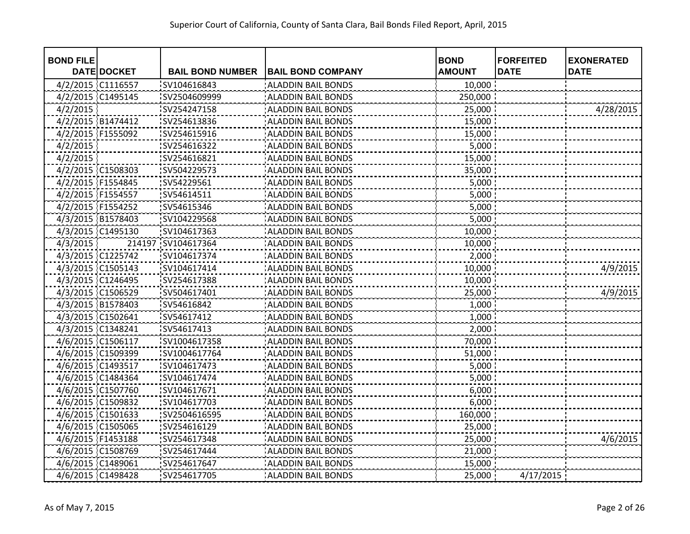| <b>BOND FILE</b>  |                    |                         |                           | <b>BOND</b>   | <b>FORFEITED</b> | <b>EXONERATED</b> |
|-------------------|--------------------|-------------------------|---------------------------|---------------|------------------|-------------------|
|                   | <b>DATE DOCKET</b> | <b>BAIL BOND NUMBER</b> | <b>BAIL BOND COMPANY</b>  | <b>AMOUNT</b> | <b>DATE</b>      | <b>DATE</b>       |
| 4/2/2015 C1116557 |                    | SV104616843             | <b>ALADDIN BAIL BONDS</b> | 10,000        |                  |                   |
| 4/2/2015 C1495145 |                    | SV2504609999            | <b>ALADDIN BAIL BONDS</b> | 250,000       |                  |                   |
| 4/2/2015          |                    | SV254247158             | <b>ALADDIN BAIL BONDS</b> | 25,000        |                  | 4/28/2015         |
| 4/2/2015 B1474412 |                    | SV254613836             | <b>ALADDIN BAIL BONDS</b> | 15,000        |                  |                   |
|                   | 4/2/2015 F1555092  | SV254615916             | <b>ALADDIN BAIL BONDS</b> | 15,000        |                  |                   |
| 4/2/2015          |                    | SV254616322             | <b>ALADDIN BAIL BONDS</b> | 5,000         |                  |                   |
| 4/2/2015          |                    | SV254616821             | <b>ALADDIN BAIL BONDS</b> | 15,000        |                  |                   |
|                   | 4/2/2015 C1508303  | SV504229573             | <b>ALADDIN BAIL BONDS</b> | 35,000        |                  |                   |
| 4/2/2015 F1554845 |                    | SV54229561              | <b>ALADDIN BAIL BONDS</b> | 5,000         |                  |                   |
| 4/2/2015 F1554557 |                    | SV54614511              | <b>ALADDIN BAIL BONDS</b> | 5,000         |                  |                   |
| 4/2/2015 F1554252 |                    | SV54615346              | <b>ALADDIN BAIL BONDS</b> | 5,000         |                  |                   |
| 4/3/2015 B1578403 |                    | SV104229568             | <b>ALADDIN BAIL BONDS</b> | 5,000         |                  |                   |
|                   | 4/3/2015 C1495130  | SV104617363             | <b>ALADDIN BAIL BONDS</b> | 10,000        |                  |                   |
| 4/3/2015          |                    | 214197 SV104617364      | <b>ALADDIN BAIL BONDS</b> | 10,000        |                  |                   |
|                   | 4/3/2015 C1225742  | SV104617374             | <b>ALADDIN BAIL BONDS</b> | 2,000         |                  |                   |
| 4/3/2015 C1505143 |                    | SV104617414             | <b>ALADDIN BAIL BONDS</b> | 10,000        |                  | 4/9/2015          |
|                   | 4/3/2015 C1246495  | SV254617388             | <b>ALADDIN BAIL BONDS</b> | 10,000        |                  |                   |
|                   | 4/3/2015 C1506529  | SV504617401             | <b>ALADDIN BAIL BONDS</b> | 25,000        |                  | 4/9/2015          |
|                   | 4/3/2015 B1578403  | SV54616842              | <b>ALADDIN BAIL BONDS</b> | 1,000         |                  |                   |
| 4/3/2015 C1502641 |                    | SV54617412              | <b>ALADDIN BAIL BONDS</b> | 1,000         |                  |                   |
| 4/3/2015 C1348241 |                    | SV54617413              | <b>ALADDIN BAIL BONDS</b> | 2,000         |                  |                   |
|                   | 4/6/2015 C1506117  | SV1004617358            | <b>ALADDIN BAIL BONDS</b> | 70,000        |                  |                   |
| 4/6/2015 C1509399 |                    | SV1004617764            | <b>ALADDIN BAIL BONDS</b> | 51,000        |                  |                   |
| 4/6/2015 C1493517 |                    | SV104617473             | <b>ALADDIN BAIL BONDS</b> | 5,000         |                  |                   |
| 4/6/2015 C1484364 |                    | SV104617474             | <b>ALADDIN BAIL BONDS</b> | 5,000         |                  |                   |
| 4/6/2015 C1507760 |                    | SV104617671             | <b>ALADDIN BAIL BONDS</b> | 6,000         |                  |                   |
| 4/6/2015 C1509832 |                    | SV104617703             | <b>ALADDIN BAIL BONDS</b> | 6,000         |                  |                   |
|                   | 4/6/2015 C1501633  | SV2504616595            | <b>ALADDIN BAIL BONDS</b> | 160,000       |                  |                   |
| 4/6/2015 C1505065 |                    | SV254616129             | <b>ALADDIN BAIL BONDS</b> | 25,000        |                  |                   |
| 4/6/2015 F1453188 |                    | SV254617348             | <b>ALADDIN BAIL BONDS</b> | 25,000        |                  | 4/6/2015          |
|                   | 4/6/2015 C1508769  | SV254617444             | <b>ALADDIN BAIL BONDS</b> | 21,000        |                  |                   |
| 4/6/2015 C1489061 |                    | SV254617647             | <b>ALADDIN BAIL BONDS</b> | 15,000        |                  |                   |
|                   | 4/6/2015 C1498428  | SV254617705             | <b>ALADDIN BAIL BONDS</b> | 25,000        | 4/17/2015        |                   |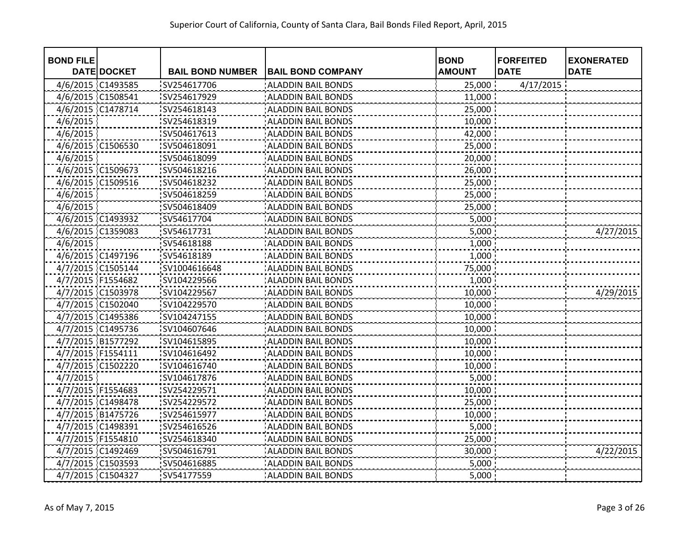| <b>BOND FILE</b>  |                    |                         |                           | <b>BOND</b>   | <b>FORFEITED</b> | <b>EXONERATED</b> |
|-------------------|--------------------|-------------------------|---------------------------|---------------|------------------|-------------------|
|                   | <b>DATE DOCKET</b> | <b>BAIL BOND NUMBER</b> | <b>BAIL BOND COMPANY</b>  | <b>AMOUNT</b> | <b>DATE</b>      | <b>DATE</b>       |
| 4/6/2015 C1493585 |                    | SV254617706             | <b>ALADDIN BAIL BONDS</b> | 25,000        | 4/17/2015        |                   |
| 4/6/2015 C1508541 |                    | SV254617929             | <b>ALADDIN BAIL BONDS</b> | 11,000        |                  |                   |
| 4/6/2015 C1478714 |                    | SV254618143             | <b>ALADDIN BAIL BONDS</b> | 25,000        |                  |                   |
| 4/6/2015          |                    | SV254618319             | <b>ALADDIN BAIL BONDS</b> | 10,000        |                  |                   |
| 4/6/2015          |                    | SV504617613             | <b>ALADDIN BAIL BONDS</b> | 42,000        |                  |                   |
|                   | 4/6/2015 C1506530  | SV504618091             | <b>ALADDIN BAIL BONDS</b> | 25,000        |                  |                   |
| 4/6/2015          |                    | SV504618099             | <b>ALADDIN BAIL BONDS</b> | 20,000        |                  |                   |
|                   | 4/6/2015 C1509673  | SV504618216             | <b>ALADDIN BAIL BONDS</b> | 26,000        |                  |                   |
|                   | 4/6/2015 C1509516  | SV504618232             | <b>ALADDIN BAIL BONDS</b> | 25,000        |                  |                   |
| 4/6/2015          |                    | SV504618259             | <b>ALADDIN BAIL BONDS</b> | 25,000        |                  |                   |
| 4/6/2015          |                    | SV504618409             | <b>ALADDIN BAIL BONDS</b> | 25,000        |                  |                   |
| 4/6/2015 C1493932 |                    | SV54617704              | <b>ALADDIN BAIL BONDS</b> | 5,000         |                  |                   |
| 4/6/2015 C1359083 |                    | SV54617731              | <b>ALADDIN BAIL BONDS</b> | 5,000         |                  | 4/27/2015         |
| 4/6/2015          |                    | SV54618188              | <b>ALADDIN BAIL BONDS</b> | 1,000         |                  |                   |
|                   | 4/6/2015 C1497196  | SV54618189              | <b>ALADDIN BAIL BONDS</b> | 1,000         |                  |                   |
| 4/7/2015 C1505144 |                    | SV1004616648            | <b>ALADDIN BAIL BONDS</b> | 75,000        |                  |                   |
| 4/7/2015 F1554682 |                    | SV104229566             | <b>ALADDIN BAIL BONDS</b> | 1,000         |                  |                   |
|                   | 4/7/2015 C1503978  | SV104229567             | <b>ALADDIN BAIL BONDS</b> | 10,000        |                  | 4/29/2015         |
|                   | 4/7/2015 C1502040  | SV104229570             | <b>ALADDIN BAIL BONDS</b> | 10,000        |                  |                   |
|                   | 4/7/2015 C1495386  | SV104247155             | <b>ALADDIN BAIL BONDS</b> | 10,000        |                  |                   |
|                   | 4/7/2015 C1495736  | SV104607646             | <b>ALADDIN BAIL BONDS</b> | 10,000        |                  |                   |
|                   | 4/7/2015 B1577292  | SV104615895             | <b>ALADDIN BAIL BONDS</b> | 10,000        |                  |                   |
| 4/7/2015 F1554111 |                    | SV104616492             | <b>ALADDIN BAIL BONDS</b> | 10,000        |                  |                   |
| 4/7/2015 C1502220 |                    | SV104616740             | <b>ALADDIN BAIL BONDS</b> | 10,000        |                  |                   |
| 4/7/2015          |                    | SV104617876             | <b>ALADDIN BAIL BONDS</b> | 5,000         |                  |                   |
| 4/7/2015 F1554683 |                    | SV254229571             | <b>ALADDIN BAIL BONDS</b> | 10,000        |                  |                   |
| 4/7/2015 C1498478 |                    | SV254229572             | <b>ALADDIN BAIL BONDS</b> | 25,000        |                  |                   |
|                   | 4/7/2015 B1475726  | SV254615977             | <b>ALADDIN BAIL BONDS</b> | 10,000        |                  |                   |
| 4/7/2015 C1498391 |                    | SV254616526             | <b>ALADDIN BAIL BONDS</b> | 5,000         |                  |                   |
| 4/7/2015 F1554810 |                    | SV254618340             | <b>ALADDIN BAIL BONDS</b> | 25,000        |                  |                   |
|                   | 4/7/2015 C1492469  | SV504616791             | <b>ALADDIN BAIL BONDS</b> | 30,000        |                  | 4/22/2015         |
| 4/7/2015 C1503593 |                    | SV504616885             | <b>ALADDIN BAIL BONDS</b> | 5,000         |                  |                   |
| 4/7/2015 C1504327 |                    | SV54177559              | <b>ALADDIN BAIL BONDS</b> | 5,000         |                  |                   |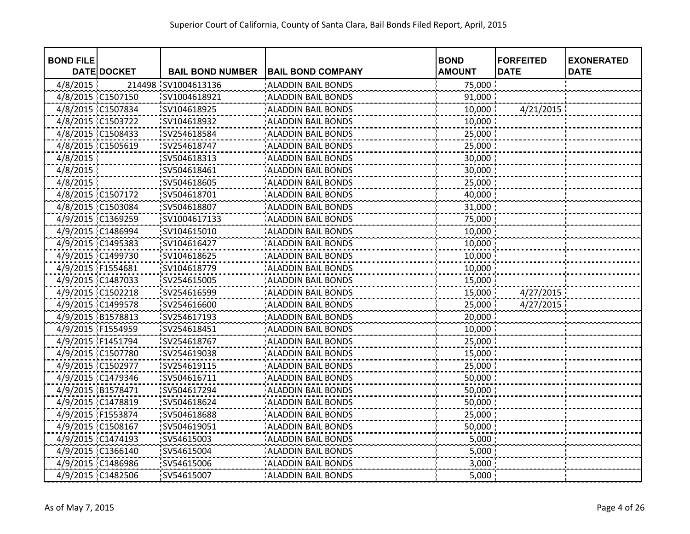| <b>BOND FILE</b>  |                    |                         |                           | <b>BOND</b>   | <b>FORFEITED</b> | <b>EXONERATED</b> |
|-------------------|--------------------|-------------------------|---------------------------|---------------|------------------|-------------------|
|                   | <b>DATE DOCKET</b> | <b>BAIL BOND NUMBER</b> | <b>BAIL BOND COMPANY</b>  | <b>AMOUNT</b> | <b>DATE</b>      | <b>DATE</b>       |
| 4/8/2015          |                    | 214498 SV1004613136     | <b>ALADDIN BAIL BONDS</b> | 75,000        |                  |                   |
| 4/8/2015 C1507150 |                    | SV1004618921            | <b>ALADDIN BAIL BONDS</b> | 91,000        |                  |                   |
| 4/8/2015 C1507834 |                    | SV104618925             | <b>ALADDIN BAIL BONDS</b> | 10,000        | 4/21/2015        |                   |
| 4/8/2015 C1503722 |                    | SV104618932             | <b>ALADDIN BAIL BONDS</b> | 10,000        |                  |                   |
| 4/8/2015 C1508433 |                    | SV254618584             | <b>ALADDIN BAIL BONDS</b> | 25,000        |                  |                   |
| 4/8/2015 C1505619 |                    | SV254618747             | <b>ALADDIN BAIL BONDS</b> | 25,000        |                  |                   |
| 4/8/2015          |                    | SV504618313             | <b>ALADDIN BAIL BONDS</b> | 30,000        |                  |                   |
| 4/8/2015          |                    | SV504618461             | <b>ALADDIN BAIL BONDS</b> | 30,000        |                  |                   |
| 4/8/2015          |                    | SV504618605             | <b>ALADDIN BAIL BONDS</b> | 25,000        |                  |                   |
| 4/8/2015 C1507172 |                    | SV504618701             | <b>ALADDIN BAIL BONDS</b> | 40,000        |                  |                   |
| 4/8/2015 C1503084 |                    | SV504618807             | <b>ALADDIN BAIL BONDS</b> | 31,000        |                  |                   |
| 4/9/2015 C1369259 |                    | SV1004617133            | <b>ALADDIN BAIL BONDS</b> | 75,000        |                  |                   |
| 4/9/2015 C1486994 |                    | SV104615010             | <b>ALADDIN BAIL BONDS</b> | 10,000        |                  |                   |
| 4/9/2015 C1495383 |                    | SV104616427             | <b>ALADDIN BAIL BONDS</b> | 10,000        |                  |                   |
| 4/9/2015 C1499730 |                    | SV104618625             | <b>ALADDIN BAIL BONDS</b> | 10,000        |                  |                   |
| 4/9/2015 F1554681 |                    | SV104618779             | <b>ALADDIN BAIL BONDS</b> | 10,000        |                  |                   |
| 4/9/2015 C1487033 |                    | SV254615005             | <b>ALADDIN BAIL BONDS</b> | 15,000        |                  |                   |
| 4/9/2015 C1502218 |                    | SV254616599             | <b>ALADDIN BAIL BONDS</b> | 15,000        | 4/27/2015        |                   |
| 4/9/2015 C1499578 |                    | SV254616600             | <b>ALADDIN BAIL BONDS</b> | 25,000        | 4/27/2015        |                   |
| 4/9/2015 B1578813 |                    | SV254617193             | <b>ALADDIN BAIL BONDS</b> | 20,000        |                  |                   |
| 4/9/2015 F1554959 |                    | SV254618451             | <b>ALADDIN BAIL BONDS</b> | 10,000        |                  |                   |
| 4/9/2015 F1451794 |                    | SV254618767             | <b>ALADDIN BAIL BONDS</b> | 25,000        |                  |                   |
| 4/9/2015 C1507780 |                    | SV254619038             | <b>ALADDIN BAIL BONDS</b> | 15,000        |                  |                   |
| 4/9/2015 C1502977 |                    | SV254619115             | <b>ALADDIN BAIL BONDS</b> | 25,000        |                  |                   |
| 4/9/2015 C1479346 |                    | SV504616711             | <b>ALADDIN BAIL BONDS</b> | 50,000        |                  |                   |
| 4/9/2015 B1578471 |                    | SV504617294             | <b>ALADDIN BAIL BONDS</b> | 50,000        |                  |                   |
| 4/9/2015 C1478819 |                    | SV504618624             | <b>ALADDIN BAIL BONDS</b> | 50,000        |                  |                   |
| 4/9/2015 F1553874 |                    | SV504618688             | <b>ALADDIN BAIL BONDS</b> | 25,000        |                  |                   |
| 4/9/2015 C1508167 |                    | SV504619051             | <b>ALADDIN BAIL BONDS</b> | 50,000        |                  |                   |
| 4/9/2015 C1474193 |                    | SV54615003              | <b>ALADDIN BAIL BONDS</b> | 5,000         |                  |                   |
| 4/9/2015 C1366140 |                    | SV54615004              | <b>ALADDIN BAIL BONDS</b> | 5,000         |                  |                   |
| 4/9/2015 C1486986 |                    | SV54615006              | <b>ALADDIN BAIL BONDS</b> | 3,000         |                  |                   |
| 4/9/2015 C1482506 |                    | SV54615007              | <b>ALADDIN BAIL BONDS</b> | 5,000         |                  |                   |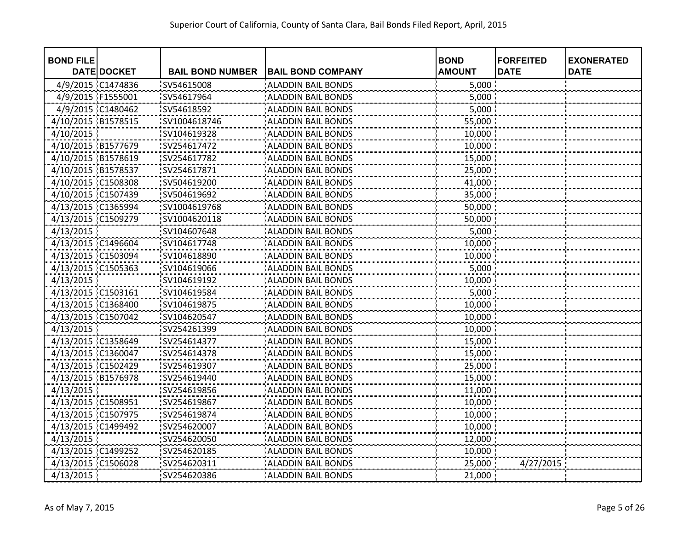| <b>BOND FILE</b>   | <b>DATE DOCKET</b> | <b>BAIL BOND NUMBER</b> | <b>BAIL BOND COMPANY</b>  | <b>BOND</b><br><b>AMOUNT</b> | <b>FORFEITED</b><br><b>DATE</b> | <b>EXONERATED</b><br><b>DATE</b> |
|--------------------|--------------------|-------------------------|---------------------------|------------------------------|---------------------------------|----------------------------------|
| 4/9/2015 C1474836  |                    | SV54615008              | <b>ALADDIN BAIL BONDS</b> | 5,000                        |                                 |                                  |
| 4/9/2015 F1555001  |                    | SV54617964              | <b>ALADDIN BAIL BONDS</b> | 5,000                        |                                 |                                  |
| 4/9/2015 C1480462  |                    | SV54618592              | <b>ALADDIN BAIL BONDS</b> | 5,000                        |                                 |                                  |
| 4/10/2015 B1578515 |                    | SV1004618746            | <b>ALADDIN BAIL BONDS</b> | 55,000                       |                                 |                                  |
| 4/10/2015          |                    | SV104619328             | <b>ALADDIN BAIL BONDS</b> |                              |                                 |                                  |
|                    |                    |                         |                           | 10,000                       |                                 |                                  |
| 4/10/2015 B1577679 |                    | SV254617472             | <b>ALADDIN BAIL BONDS</b> | 10,000                       |                                 |                                  |
| 4/10/2015 B1578619 |                    | SV254617782             | <b>ALADDIN BAIL BONDS</b> | 15,000                       |                                 |                                  |
| 4/10/2015 B1578537 |                    | SV254617871             | <b>ALADDIN BAIL BONDS</b> | 25,000                       |                                 |                                  |
| 4/10/2015 C1508308 |                    | SV504619200             | <b>ALADDIN BAIL BONDS</b> | 41,000                       |                                 |                                  |
| 4/10/2015 C1507439 |                    | SV504619692             | <b>ALADDIN BAIL BONDS</b> | 35,000                       |                                 |                                  |
| 4/13/2015 C1365994 |                    | SV1004619768            | <b>ALADDIN BAIL BONDS</b> | 50,000                       |                                 |                                  |
| 4/13/2015 C1509279 |                    | SV1004620118            | <b>ALADDIN BAIL BONDS</b> | 50,000                       |                                 |                                  |
| 4/13/2015          |                    | SV104607648             | <b>ALADDIN BAIL BONDS</b> | 5,000                        |                                 |                                  |
| 4/13/2015 C1496604 |                    | SV104617748             | <b>ALADDIN BAIL BONDS</b> | 10,000                       |                                 |                                  |
| 4/13/2015 C1503094 |                    | SV104618890             | <b>ALADDIN BAIL BONDS</b> | 10,000                       |                                 |                                  |
| 4/13/2015 C1505363 |                    | SV104619066             | <b>ALADDIN BAIL BONDS</b> | 5,000                        |                                 |                                  |
| 4/13/2015          |                    | SV104619192             | <b>ALADDIN BAIL BONDS</b> | 10,000                       |                                 |                                  |
| 4/13/2015 C1503161 |                    | SV104619584             | <b>ALADDIN BAIL BONDS</b> | 5,000                        |                                 |                                  |
| 4/13/2015 C1368400 |                    | SV104619875             | <b>ALADDIN BAIL BONDS</b> | 10,000                       |                                 |                                  |
| 4/13/2015 C1507042 |                    | SV104620547             | <b>ALADDIN BAIL BONDS</b> | 10,000                       |                                 |                                  |
| 4/13/2015          |                    | SV254261399             | <b>ALADDIN BAIL BONDS</b> | 10,000                       |                                 |                                  |
| 4/13/2015 C1358649 |                    | SV254614377             | <b>ALADDIN BAIL BONDS</b> | 15,000                       |                                 |                                  |
| 4/13/2015 C1360047 |                    | SV254614378             | <b>ALADDIN BAIL BONDS</b> | 15,000                       |                                 |                                  |
| 4/13/2015 C1502429 |                    | SV254619307             | <b>ALADDIN BAIL BONDS</b> | 25,000                       |                                 |                                  |
| 4/13/2015 B1576978 |                    | SV254619440             | <b>ALADDIN BAIL BONDS</b> | 15,000                       |                                 |                                  |
| 4/13/2015          |                    | SV254619856             | <b>ALADDIN BAIL BONDS</b> | 11,000                       |                                 |                                  |
| 4/13/2015 C1508951 |                    | SV254619867             | <b>ALADDIN BAIL BONDS</b> | 10,000                       |                                 |                                  |
| 4/13/2015 C1507975 |                    | SV254619874             | <b>ALADDIN BAIL BONDS</b> | 10,000                       |                                 |                                  |
| 4/13/2015 C1499492 |                    | SV254620007             | <b>ALADDIN BAIL BONDS</b> | 10,000                       |                                 |                                  |
| 4/13/2015          |                    | SV254620050             | <b>ALADDIN BAIL BONDS</b> | 12,000                       |                                 |                                  |
| 4/13/2015 C1499252 |                    | SV254620185             | <b>ALADDIN BAIL BONDS</b> | 10,000                       |                                 |                                  |
| 4/13/2015 C1506028 |                    | SV254620311             | <b>ALADDIN BAIL BONDS</b> | 25,000                       | 4/27/2015                       |                                  |
| 4/13/2015          |                    | SV254620386             | <b>ALADDIN BAIL BONDS</b> | 21,000                       |                                 |                                  |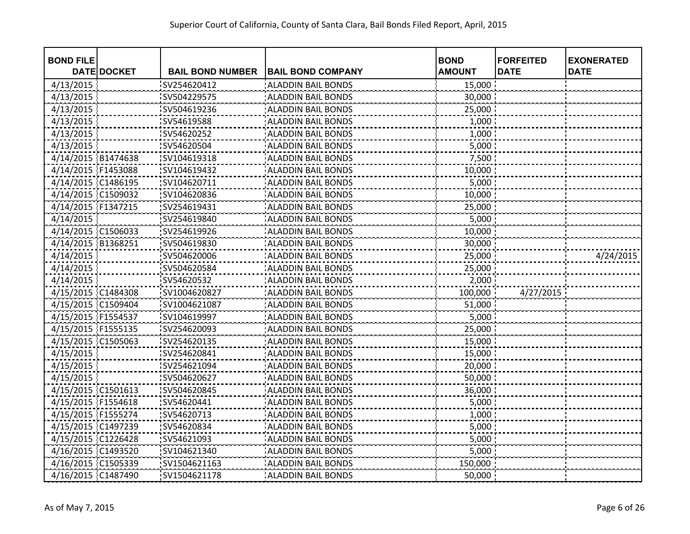| <b>BOND FILE</b>   | <b>DATE DOCKET</b> | <b>BAIL BOND NUMBER</b> | <b>BAIL BOND COMPANY</b>  | <b>BOND</b><br><b>AMOUNT</b> | <b>FORFEITED</b><br><b>DATE</b> | <b>EXONERATED</b><br><b>DATE</b> |
|--------------------|--------------------|-------------------------|---------------------------|------------------------------|---------------------------------|----------------------------------|
| 4/13/2015          |                    | SV254620412             | <b>ALADDIN BAIL BONDS</b> | 15,000                       |                                 |                                  |
| 4/13/2015          |                    | SV504229575             | <b>ALADDIN BAIL BONDS</b> | 30,000                       |                                 |                                  |
| 4/13/2015          |                    | SV504619236             | <b>ALADDIN BAIL BONDS</b> | 25,000                       |                                 |                                  |
| 4/13/2015          |                    | SV54619588              | <b>ALADDIN BAIL BONDS</b> | 1,000                        |                                 |                                  |
| 4/13/2015          |                    | SV54620252              | <b>ALADDIN BAIL BONDS</b> | 1,000                        |                                 |                                  |
| 4/13/2015          |                    | :SV54620504             | <b>ALADDIN BAIL BONDS</b> | 5,000                        |                                 |                                  |
| 4/14/2015 B1474638 |                    | SV104619318             | <b>ALADDIN BAIL BONDS</b> | 7,500                        |                                 |                                  |
| 4/14/2015 F1453088 |                    | SV104619432             | <b>ALADDIN BAIL BONDS</b> | 10,000                       |                                 |                                  |
| 4/14/2015 C1486195 |                    | SV104620711             | <b>ALADDIN BAIL BONDS</b> | 5,000                        |                                 |                                  |
| 4/14/2015 C1509032 |                    | SV104620836             | <b>ALADDIN BAIL BONDS</b> | 10,000                       |                                 |                                  |
| 4/14/2015 F1347215 |                    | SV254619431             | <b>ALADDIN BAIL BONDS</b> | 25,000                       |                                 |                                  |
| 4/14/2015          |                    | SV254619840             | <b>ALADDIN BAIL BONDS</b> | 5,000                        |                                 |                                  |
| 4/14/2015 C1506033 |                    | SV254619926             | <b>ALADDIN BAIL BONDS</b> | 10,000                       |                                 |                                  |
| 4/14/2015 B1368251 |                    | SV504619830             | <b>ALADDIN BAIL BONDS</b> | 30,000                       |                                 |                                  |
| 4/14/2015          |                    | SV504620006             | <b>ALADDIN BAIL BONDS</b> | 25,000                       |                                 | 4/24/2015                        |
| 4/14/2015          |                    | SV504620584             | <b>ALADDIN BAIL BONDS</b> | 25,000                       |                                 |                                  |
| 4/14/2015          |                    | SV54620532              | <b>ALADDIN BAIL BONDS</b> | 2,000                        |                                 |                                  |
| 4/15/2015 C1484308 |                    | SV1004620827            | <b>ALADDIN BAIL BONDS</b> | 100,000                      | 4/27/2015                       |                                  |
| 4/15/2015 C1509404 |                    | SV1004621087            | <b>ALADDIN BAIL BONDS</b> | 51,000                       |                                 |                                  |
| 4/15/2015 F1554537 |                    | SV104619997             | <b>ALADDIN BAIL BONDS</b> | 5,000                        |                                 |                                  |
| 4/15/2015 F1555135 |                    | SV254620093             | <b>ALADDIN BAIL BONDS</b> | 25,000                       |                                 |                                  |
| 4/15/2015 C1505063 |                    | SV254620135             | <b>ALADDIN BAIL BONDS</b> | 15,000                       |                                 |                                  |
| 4/15/2015          |                    | SV254620841             | <b>ALADDIN BAIL BONDS</b> | 15,000                       |                                 |                                  |
| 4/15/2015          |                    | SV254621094             | <b>ALADDIN BAIL BONDS</b> | 20,000                       |                                 |                                  |
| 4/15/2015          |                    | SV504620627             | ALADDIN BAIL BONDS        | 50,000                       |                                 |                                  |
| 4/15/2015 C1501613 |                    | SV504620845             | <b>ALADDIN BAIL BONDS</b> | 36,000                       |                                 |                                  |
| 4/15/2015 F1554618 |                    | SV54620441              | <b>ALADDIN BAIL BONDS</b> | 5,000                        |                                 |                                  |
| 4/15/2015 F1555274 |                    | SV54620713              | <b>ALADDIN BAIL BONDS</b> | 1,000                        |                                 |                                  |
| 4/15/2015 C1497239 |                    | SV54620834              | <b>ALADDIN BAIL BONDS</b> | 5,000                        |                                 |                                  |
| 4/15/2015 C1226428 |                    | SV54621093              | <b>ALADDIN BAIL BONDS</b> | 5,000                        |                                 |                                  |
| 4/16/2015 C1493520 |                    | SV104621340             | <b>ALADDIN BAIL BONDS</b> | 5,000                        |                                 |                                  |
| 4/16/2015 C1505339 |                    | SV1504621163            | <b>ALADDIN BAIL BONDS</b> | 150,000                      |                                 |                                  |
| 4/16/2015 C1487490 |                    | SV1504621178            | <b>ALADDIN BAIL BONDS</b> | 50,000                       |                                 |                                  |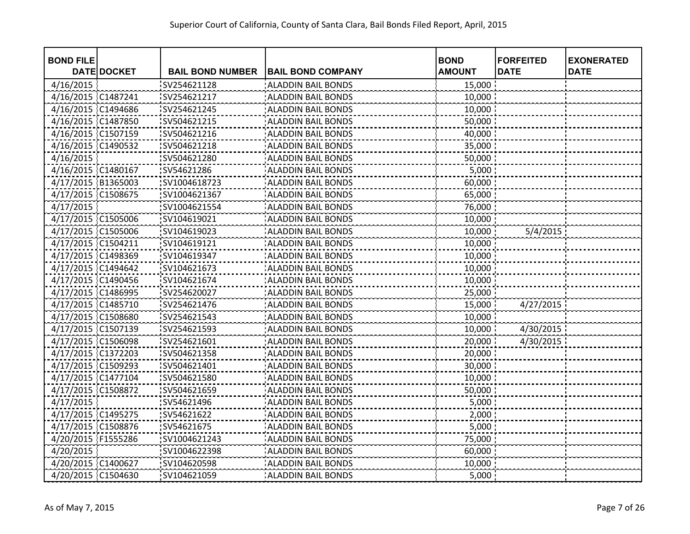| <b>BOND FILE</b>   |                    |                         |                           | <b>BOND</b>   | <b>FORFEITED</b> | <b>EXONERATED</b> |
|--------------------|--------------------|-------------------------|---------------------------|---------------|------------------|-------------------|
|                    | <b>DATE DOCKET</b> | <b>BAIL BOND NUMBER</b> | <b>BAIL BOND COMPANY</b>  | <b>AMOUNT</b> | <b>DATE</b>      | <b>DATE</b>       |
| 4/16/2015          |                    | SV254621128             | <b>ALADDIN BAIL BONDS</b> | 15,000        |                  |                   |
| 4/16/2015 C1487241 |                    | SV254621217             | <b>ALADDIN BAIL BONDS</b> | 10,000        |                  |                   |
| 4/16/2015 C1494686 |                    | SV254621245             | <b>ALADDIN BAIL BONDS</b> | 10,000        |                  |                   |
| 4/16/2015 C1487850 |                    | SV504621215             | <b>ALADDIN BAIL BONDS</b> | 50,000        |                  |                   |
| 4/16/2015 C1507159 |                    | SV504621216             | <b>ALADDIN BAIL BONDS</b> | 40,000        |                  |                   |
| 4/16/2015 C1490532 |                    | SV504621218             | <b>ALADDIN BAIL BONDS</b> | 35,000        |                  |                   |
| 4/16/2015          |                    | SV504621280             | <b>ALADDIN BAIL BONDS</b> | 50,000        |                  |                   |
| 4/16/2015 C1480167 |                    | SV54621286              | <b>ALADDIN BAIL BONDS</b> | 5,000         |                  |                   |
| 4/17/2015 B1365003 |                    | SV1004618723            | <b>ALADDIN BAIL BONDS</b> | 60,000        |                  |                   |
| 4/17/2015 C1508675 |                    | SV1004621367            | <b>ALADDIN BAIL BONDS</b> | 65,000        |                  |                   |
| 4/17/2015          |                    | SV1004621554            | <b>ALADDIN BAIL BONDS</b> | 76,000        |                  |                   |
| 4/17/2015 C1505006 |                    | SV104619021             | <b>ALADDIN BAIL BONDS</b> | 10,000        |                  |                   |
| 4/17/2015 C1505006 |                    | SV104619023             | <b>ALADDIN BAIL BONDS</b> | 10,000        | 5/4/2015         |                   |
| 4/17/2015 C1504211 |                    | SV104619121             | <b>ALADDIN BAIL BONDS</b> | 10,000        |                  |                   |
| 4/17/2015 C1498369 |                    | SV104619347             | <b>ALADDIN BAIL BONDS</b> | 10,000        |                  |                   |
| 4/17/2015 C1494642 |                    | SV104621673             | <b>ALADDIN BAIL BONDS</b> | 10,000        |                  |                   |
| 4/17/2015 C1490456 |                    | SV104621674             | <b>ALADDIN BAIL BONDS</b> | 10,000        |                  |                   |
| 4/17/2015 C1486995 |                    | SV254620027             | <b>ALADDIN BAIL BONDS</b> | 25,000        |                  |                   |
| 4/17/2015 C1485710 |                    | SV254621476             | <b>ALADDIN BAIL BONDS</b> | 15,000        | 4/27/2015        |                   |
| 4/17/2015 C1508680 |                    | SV254621543             | <b>ALADDIN BAIL BONDS</b> | 10,000        |                  |                   |
| 4/17/2015 C1507139 |                    | SV254621593             | <b>ALADDIN BAIL BONDS</b> | 10,000        | 4/30/2015        |                   |
| 4/17/2015 C1506098 |                    | SV254621601             | <b>ALADDIN BAIL BONDS</b> | 20,000        | 4/30/2015        |                   |
| 4/17/2015 C1372203 |                    | SV504621358             | <b>ALADDIN BAIL BONDS</b> | 20,000        |                  |                   |
| 4/17/2015 C1509293 |                    | SV504621401             | <b>ALADDIN BAIL BONDS</b> | 30,000        |                  |                   |
| 4/17/2015 C1477104 |                    | SV504621580             | <b>ALADDIN BAIL BONDS</b> | 10,000        |                  |                   |
| 4/17/2015 C1508872 |                    | SV504621659             | <b>ALADDIN BAIL BONDS</b> | 50,000        |                  |                   |
| 4/17/2015          |                    | SV54621496              | <b>ALADDIN BAIL BONDS</b> | 5,000         |                  |                   |
| 4/17/2015 C1495275 |                    | SV54621622              | <b>ALADDIN BAIL BONDS</b> | 2,000         |                  |                   |
| 4/17/2015 C1508876 |                    | SV54621675              | <b>ALADDIN BAIL BONDS</b> | 5,000         |                  |                   |
| 4/20/2015 F1555286 |                    | SV1004621243            | <b>ALADDIN BAIL BONDS</b> | 75,000        |                  |                   |
| 4/20/2015          |                    | SV1004622398            | <b>ALADDIN BAIL BONDS</b> | 60,000        |                  |                   |
| 4/20/2015 C1400627 |                    | SV104620598             | <b>ALADDIN BAIL BONDS</b> | 10,000        |                  |                   |
| 4/20/2015 C1504630 |                    | SV104621059             | <b>ALADDIN BAIL BONDS</b> | 5,000         |                  |                   |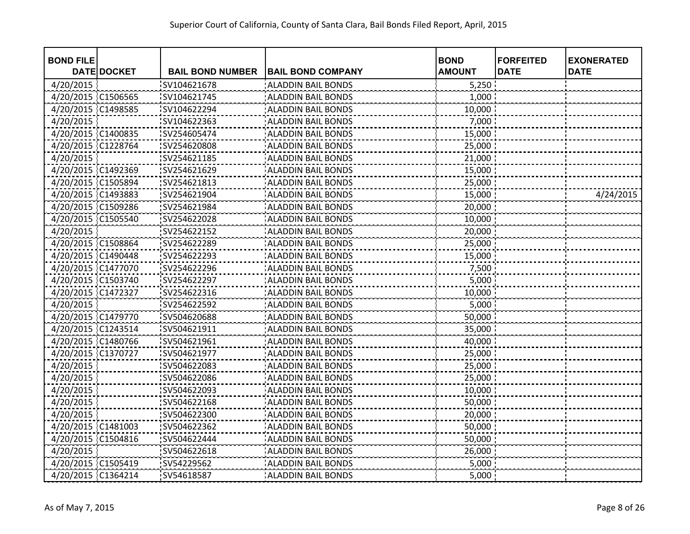| <b>BOND FILE</b>   | <b>DATE DOCKET</b> | <b>BAIL BOND NUMBER</b> | <b>BAIL BOND COMPANY</b>  | <b>BOND</b><br><b>AMOUNT</b> | <b>FORFEITED</b><br><b>DATE</b> | <b>EXONERATED</b><br><b>DATE</b> |
|--------------------|--------------------|-------------------------|---------------------------|------------------------------|---------------------------------|----------------------------------|
| 4/20/2015          |                    | SV104621678             | <b>ALADDIN BAIL BONDS</b> | 5,250                        |                                 |                                  |
|                    |                    |                         |                           |                              |                                 |                                  |
| 4/20/2015 C1506565 |                    | SV104621745             | <b>ALADDIN BAIL BONDS</b> | 1,000                        |                                 |                                  |
| 4/20/2015          | C1498585           | SV104622294             | <b>ALADDIN BAIL BONDS</b> | 10,000                       |                                 |                                  |
| 4/20/2015          |                    | SV104622363             | <b>ALADDIN BAIL BONDS</b> | 7,000                        |                                 |                                  |
| 4/20/2015 C1400835 |                    | SV254605474             | <b>ALADDIN BAIL BONDS</b> | 15,000                       |                                 |                                  |
| 4/20/2015 C1228764 |                    | SV254620808             | <b>ALADDIN BAIL BONDS</b> | 25,000                       |                                 |                                  |
| 4/20/2015          |                    | SV254621185             | <b>ALADDIN BAIL BONDS</b> | 21,000                       |                                 |                                  |
| 4/20/2015 C1492369 |                    | SV254621629             | <b>ALADDIN BAIL BONDS</b> | 15,000                       |                                 |                                  |
| 4/20/2015 C1505894 |                    | SV254621813             | <b>ALADDIN BAIL BONDS</b> | 25,000                       |                                 |                                  |
| 4/20/2015 C1493883 |                    | SV254621904             | <b>ALADDIN BAIL BONDS</b> | 15,000                       |                                 | 4/24/2015                        |
| 4/20/2015 C1509286 |                    | SV254621984             | <b>ALADDIN BAIL BONDS</b> | 20,000                       |                                 |                                  |
| 4/20/2015 C1505540 |                    | SV254622028             | <b>ALADDIN BAIL BONDS</b> | 10,000                       |                                 |                                  |
| 4/20/2015          |                    | SV254622152             | <b>ALADDIN BAIL BONDS</b> | 20,000                       |                                 |                                  |
| 4/20/2015 C1508864 |                    | SV254622289             | <b>ALADDIN BAIL BONDS</b> | 25,000                       |                                 |                                  |
| 4/20/2015 C1490448 |                    | SV254622293             | <b>ALADDIN BAIL BONDS</b> | 15,000                       |                                 |                                  |
| 4/20/2015 C1477070 |                    | SV254622296             | <b>ALADDIN BAIL BONDS</b> | 7,500                        |                                 |                                  |
| 4/20/2015 C1503740 |                    | SV254622297             | <b>ALADDIN BAIL BONDS</b> | 5,000                        |                                 |                                  |
| 4/20/2015 C1472327 |                    | SV254622316             | <b>ALADDIN BAIL BONDS</b> | 10,000                       |                                 |                                  |
| 4/20/2015          |                    | SV254622592             | <b>ALADDIN BAIL BONDS</b> | 5,000                        |                                 |                                  |
| 4/20/2015 C1479770 |                    | SV504620688             | <b>ALADDIN BAIL BONDS</b> | 50,000                       |                                 |                                  |
| 4/20/2015 C1243514 |                    | SV504621911             | <b>ALADDIN BAIL BONDS</b> | 35,000                       |                                 |                                  |
| 4/20/2015 C1480766 |                    | SV504621961             | <b>ALADDIN BAIL BONDS</b> | 40,000                       |                                 |                                  |
| 4/20/2015 C1370727 |                    | SV504621977             | <b>ALADDIN BAIL BONDS</b> | 25,000                       |                                 |                                  |
| 4/20/2015          |                    | SV504622083             | <b>ALADDIN BAIL BONDS</b> | 25,000                       |                                 |                                  |
| 4/20/2015          |                    | SV504622086             | <b>ALADDIN BAIL BONDS</b> | 25,000                       |                                 |                                  |
| 4/20/2015          |                    | SV504622093             | <b>ALADDIN BAIL BONDS</b> | 10,000                       |                                 |                                  |
| 4/20/2015          |                    | SV504622168             | <b>ALADDIN BAIL BONDS</b> | 50,000                       |                                 |                                  |
| 4/20/2015          |                    | SV504622300             | <b>ALADDIN BAIL BONDS</b> | 20,000                       |                                 |                                  |
| 4/20/2015 C1481003 |                    | SV504622362             | <b>ALADDIN BAIL BONDS</b> | 50,000                       |                                 |                                  |
| 4/20/2015 C1504816 |                    | SV504622444             | <b>ALADDIN BAIL BONDS</b> | 50,000                       |                                 |                                  |
| 4/20/2015          |                    | SV504622618             | <b>ALADDIN BAIL BONDS</b> | 26,000                       |                                 |                                  |
| 4/20/2015 C1505419 |                    | SV54229562              | <b>ALADDIN BAIL BONDS</b> | 5,000                        |                                 |                                  |
| 4/20/2015 C1364214 |                    | SV54618587              | <b>ALADDIN BAIL BONDS</b> | 5,000                        |                                 |                                  |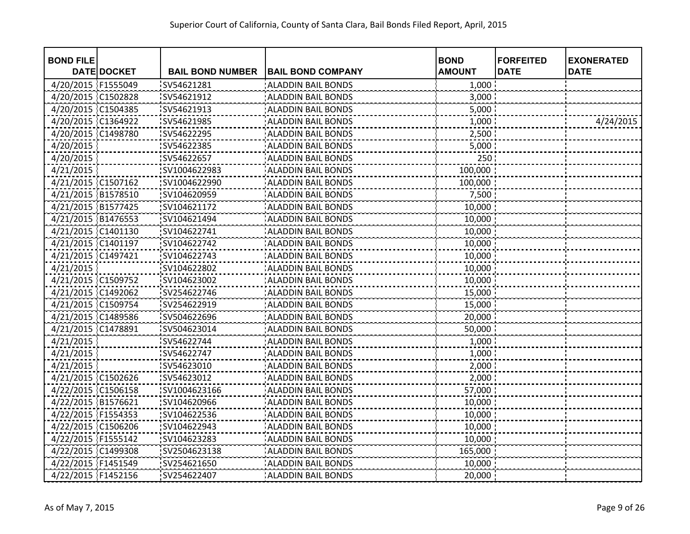| <b>BOND FILE</b>   |                    |                         |                           | <b>BOND</b>   | <b>FORFEITED</b> | <b>EXONERATED</b> |
|--------------------|--------------------|-------------------------|---------------------------|---------------|------------------|-------------------|
|                    | <b>DATE DOCKET</b> | <b>BAIL BOND NUMBER</b> | <b>BAIL BOND COMPANY</b>  | <b>AMOUNT</b> | <b>DATE</b>      | <b>DATE</b>       |
| 4/20/2015 F1555049 |                    | SV54621281              | <b>ALADDIN BAIL BONDS</b> | 1,000         |                  |                   |
| 4/20/2015 C1502828 |                    | SV54621912              | <b>ALADDIN BAIL BONDS</b> | 3,000         |                  |                   |
| 4/20/2015 C1504385 |                    | SV54621913              | <b>ALADDIN BAIL BONDS</b> | 5,000         |                  |                   |
| 4/20/2015 C1364922 |                    | SV54621985              | <b>ALADDIN BAIL BONDS</b> | 1,000         |                  | 4/24/2015         |
| 4/20/2015 C1498780 |                    | SV54622295              | <b>ALADDIN BAIL BONDS</b> | 2,500         |                  |                   |
| 4/20/2015          |                    | SV54622385              | <b>ALADDIN BAIL BONDS</b> | 5,000         |                  |                   |
| 4/20/2015          |                    | SV54622657              | <b>ALADDIN BAIL BONDS</b> | 250           |                  |                   |
| 4/21/2015          |                    | SV1004622983            | <b>ALADDIN BAIL BONDS</b> | 100,000:      |                  |                   |
| 4/21/2015 C1507162 |                    | SV1004622990            | <b>ALADDIN BAIL BONDS</b> | 100,000       |                  |                   |
| 4/21/2015 B1578510 |                    | SV104620959             | <b>ALADDIN BAIL BONDS</b> | 7,500         |                  |                   |
| 4/21/2015 B1577425 |                    | SV104621172             | <b>ALADDIN BAIL BONDS</b> | 10,000        |                  |                   |
| 4/21/2015 B1476553 |                    | SV104621494             | <b>ALADDIN BAIL BONDS</b> | 10,000        |                  |                   |
| 4/21/2015 C1401130 |                    | SV104622741             | <b>ALADDIN BAIL BONDS</b> | 10,000        |                  |                   |
| 4/21/2015 C1401197 |                    | SV104622742             | <b>ALADDIN BAIL BONDS</b> | 10,000        |                  |                   |
| 4/21/2015 C1497421 |                    | SV104622743             | <b>ALADDIN BAIL BONDS</b> | 10,000        |                  |                   |
| 4/21/2015          |                    | SV104622802             | <b>ALADDIN BAIL BONDS</b> | 10,000        |                  |                   |
| 4/21/2015 C1509752 |                    | SV104623002             | <b>ALADDIN BAIL BONDS</b> | 10,000        |                  |                   |
| 4/21/2015 C1492062 |                    | SV254622746             | <b>ALADDIN BAIL BONDS</b> | 15,000        |                  |                   |
| 4/21/2015 C1509754 |                    | SV254622919             | <b>ALADDIN BAIL BONDS</b> | 15,000        |                  |                   |
| 4/21/2015 C1489586 |                    | SV504622696             | <b>ALADDIN BAIL BONDS</b> | 20,000        |                  |                   |
| 4/21/2015 C1478891 |                    | SV504623014             | <b>ALADDIN BAIL BONDS</b> | 50,000        |                  |                   |
| 4/21/2015          |                    | SV54622744              | <b>ALADDIN BAIL BONDS</b> | 1,000         |                  |                   |
| 4/21/2015          |                    | SV54622747              | <b>ALADDIN BAIL BONDS</b> | 1,000         |                  |                   |
| 4/21/2015          |                    | SV54623010              | <b>ALADDIN BAIL BONDS</b> | 2,000         |                  |                   |
| 4/21/2015 C1502626 |                    | SV54623012              | <b>ALADDIN BAIL BONDS</b> | 2,000         |                  |                   |
| 4/22/2015 C1506158 |                    | SV1004623166            | <b>ALADDIN BAIL BONDS</b> | 57,000        |                  |                   |
| 4/22/2015 B1576621 |                    | SV104620966             | <b>ALADDIN BAIL BONDS</b> | 10,000        |                  |                   |
| 4/22/2015 F1554353 |                    | SV104622536             | <b>ALADDIN BAIL BONDS</b> | 10,000        |                  |                   |
| 4/22/2015 C1506206 |                    | SV104622943             | <b>ALADDIN BAIL BONDS</b> | 10,000        |                  |                   |
| 4/22/2015 F1555142 |                    | SV104623283             | <b>ALADDIN BAIL BONDS</b> | 10,000        |                  |                   |
| 4/22/2015 C1499308 |                    | SV2504623138            | <b>ALADDIN BAIL BONDS</b> | 165,000       |                  |                   |
| 4/22/2015 F1451549 |                    | SV254621650             | <b>ALADDIN BAIL BONDS</b> | 10,000        |                  |                   |
| 4/22/2015 F1452156 |                    | SV254622407             | <b>ALADDIN BAIL BONDS</b> | 20,000        |                  |                   |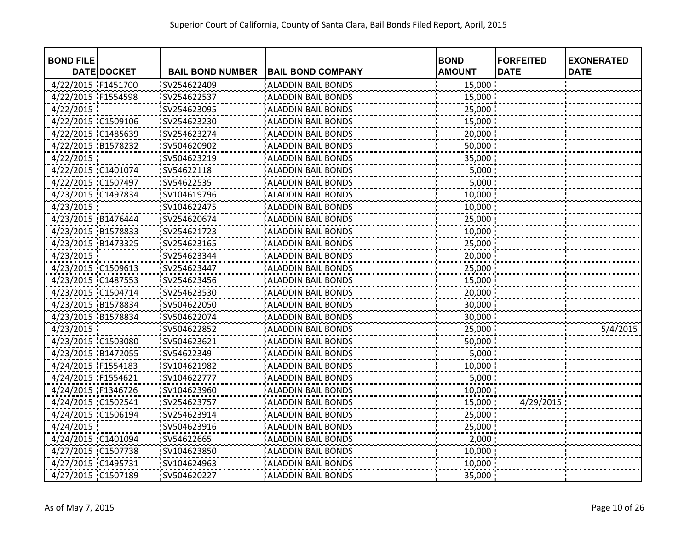| <b>BOND FILE</b>   |                    |                         |                           | <b>BOND</b>   | <b>FORFEITED</b> | <b>EXONERATED</b> |
|--------------------|--------------------|-------------------------|---------------------------|---------------|------------------|-------------------|
|                    | <b>DATE DOCKET</b> | <b>BAIL BOND NUMBER</b> | <b>BAIL BOND COMPANY</b>  | <b>AMOUNT</b> | <b>DATE</b>      | <b>DATE</b>       |
| 4/22/2015 F1451700 |                    | SV254622409             | <b>ALADDIN BAIL BONDS</b> | 15,000        |                  |                   |
| 4/22/2015 F1554598 |                    | SV254622537             | <b>ALADDIN BAIL BONDS</b> | 15,000        |                  |                   |
| 4/22/2015          |                    | SV254623095             | <b>ALADDIN BAIL BONDS</b> | 25,000        |                  |                   |
| 4/22/2015 C1509106 |                    | SV254623230             | <b>ALADDIN BAIL BONDS</b> | 15,000        |                  |                   |
| 4/22/2015 C1485639 |                    | SV254623274             | <b>ALADDIN BAIL BONDS</b> | 20,000        |                  |                   |
| 4/22/2015 B1578232 |                    | SV504620902             | <b>ALADDIN BAIL BONDS</b> | 50,000        |                  |                   |
| 4/22/2015          |                    | SV504623219             | <b>ALADDIN BAIL BONDS</b> | 35,000        |                  |                   |
| 4/22/2015 C1401074 |                    | SV54622118              | <b>ALADDIN BAIL BONDS</b> | 5,000         |                  |                   |
| 4/22/2015 C1507497 |                    | SV54622535              | <b>ALADDIN BAIL BONDS</b> | 5,000         |                  |                   |
| 4/23/2015 C1497834 |                    | SV104619796             | <b>ALADDIN BAIL BONDS</b> | 10,000        |                  |                   |
| 4/23/2015          |                    | SV104622475             | <b>ALADDIN BAIL BONDS</b> | 10,000        |                  |                   |
| 4/23/2015 B1476444 |                    | SV254620674             | ALADDIN BAIL BONDS        | 25,000        |                  |                   |
| 4/23/2015 B1578833 |                    | SV254621723             | <b>ALADDIN BAIL BONDS</b> | 10,000        |                  |                   |
| 4/23/2015 B1473325 |                    | SV254623165             | <b>ALADDIN BAIL BONDS</b> | 25,000        |                  |                   |
| 4/23/2015          |                    | SV254623344             | <b>ALADDIN BAIL BONDS</b> | 20,000        |                  |                   |
| 4/23/2015 C1509613 |                    | SV254623447             | <b>ALADDIN BAIL BONDS</b> | 25,000        |                  |                   |
| 4/23/2015 C1487553 |                    | SV254623456             | <b>ALADDIN BAIL BONDS</b> | 15,000        |                  |                   |
| 4/23/2015 C1504714 |                    | SV254623530             | <b>ALADDIN BAIL BONDS</b> | 20,000        |                  |                   |
| 4/23/2015 B1578834 |                    | SV504622050             | <b>ALADDIN BAIL BONDS</b> | 30,000        |                  |                   |
| 4/23/2015 B1578834 |                    | SV504622074             | <b>ALADDIN BAIL BONDS</b> | 30,000        |                  |                   |
| 4/23/2015          |                    | SV504622852             | <b>ALADDIN BAIL BONDS</b> | 25,000        |                  | 5/4/2015          |
| 4/23/2015 C1503080 |                    | SV504623621             | <b>ALADDIN BAIL BONDS</b> | 50,000        |                  |                   |
| 4/23/2015 B1472055 |                    | SV54622349              | <b>ALADDIN BAIL BONDS</b> | 5,000         |                  |                   |
| 4/24/2015 F1554183 |                    | SV104621982             | <b>ALADDIN BAIL BONDS</b> | 10,000        |                  |                   |
| 4/24/2015 F1554621 |                    | SV104622777             | <b>ALADDIN BAIL BONDS</b> | 5,000         |                  |                   |
| 4/24/2015 F1346726 |                    | SV104623960             | <b>ALADDIN BAIL BONDS</b> | 10,000        |                  |                   |
| 4/24/2015 C1502541 |                    | SV254623757             | <b>ALADDIN BAIL BONDS</b> | 15,000        | 4/29/2015        |                   |
| 4/24/2015 C1506194 |                    | SV254623914             | <b>ALADDIN BAIL BONDS</b> | 25,000        |                  |                   |
| 4/24/2015          |                    | SV504623916             | <b>ALADDIN BAIL BONDS</b> | 25,000        |                  |                   |
| 4/24/2015 C1401094 |                    | SV54622665              | <b>ALADDIN BAIL BONDS</b> | 2,000         |                  |                   |
| 4/27/2015 C1507738 |                    | SV104623850             | <b>ALADDIN BAIL BONDS</b> | 10,000        |                  |                   |
| 4/27/2015 C1495731 |                    | SV104624963             | <b>ALADDIN BAIL BONDS</b> | 10,000        |                  |                   |
| 4/27/2015 C1507189 |                    | SV504620227             | <b>ALADDIN BAIL BONDS</b> | 35,000        |                  |                   |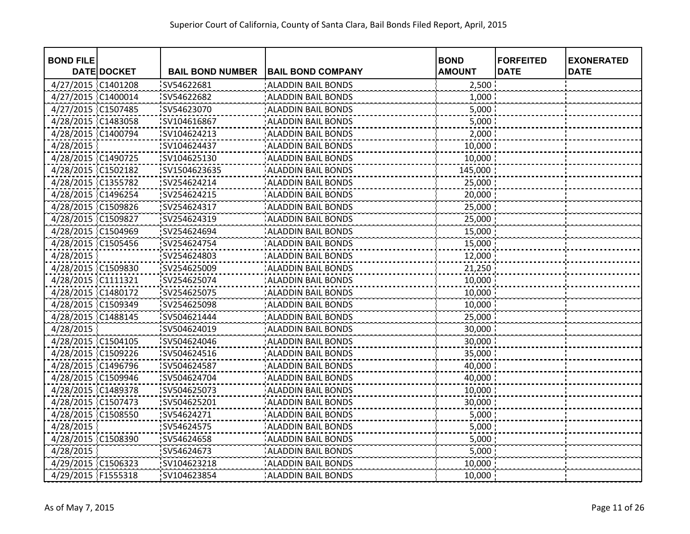| <b>BOND FILE</b>   | <b>DATE DOCKET</b> | <b>BAIL BOND NUMBER</b> | <b>BAIL BOND COMPANY</b>  | <b>BOND</b><br><b>AMOUNT</b> | <b>FORFEITED</b><br><b>DATE</b> | <b>EXONERATED</b><br><b>DATE</b> |
|--------------------|--------------------|-------------------------|---------------------------|------------------------------|---------------------------------|----------------------------------|
| 4/27/2015 C1401208 |                    | SV54622681              | <b>ALADDIN BAIL BONDS</b> | 2,500                        |                                 |                                  |
| 4/27/2015 C1400014 |                    | SV54622682              | <b>ALADDIN BAIL BONDS</b> | 1,000                        |                                 |                                  |
| 4/27/2015 C1507485 |                    | SV54623070              | <b>ALADDIN BAIL BONDS</b> | 5,000                        |                                 |                                  |
| 4/28/2015 C1483058 |                    | SV104616867             | <b>ALADDIN BAIL BONDS</b> | 5,000                        |                                 |                                  |
| 4/28/2015 C1400794 |                    | SV104624213             | <b>ALADDIN BAIL BONDS</b> | 2,000                        |                                 |                                  |
| 4/28/2015          |                    | SV104624437             | <b>ALADDIN BAIL BONDS</b> | 10,000                       |                                 |                                  |
| 4/28/2015 C1490725 |                    | SV104625130             | <b>ALADDIN BAIL BONDS</b> | 10,000                       |                                 |                                  |
| 4/28/2015 C1502182 |                    | SV1504623635            | <b>ALADDIN BAIL BONDS</b> | 145,000 :                    |                                 |                                  |
| 4/28/2015 C1355782 |                    | SV254624214             | <b>ALADDIN BAIL BONDS</b> | 25,000                       |                                 |                                  |
| 4/28/2015 C1496254 |                    | SV254624215             | <b>ALADDIN BAIL BONDS</b> | 20,000                       |                                 |                                  |
| 4/28/2015 C1509826 |                    | SV254624317             | <b>ALADDIN BAIL BONDS</b> | 25,000                       |                                 |                                  |
| 4/28/2015 C1509827 |                    | SV254624319             | <b>ALADDIN BAIL BONDS</b> | 25,000                       |                                 |                                  |
| 4/28/2015 C1504969 |                    | SV254624694             | <b>ALADDIN BAIL BONDS</b> | 15,000                       |                                 |                                  |
| 4/28/2015 C1505456 |                    | SV254624754             | <b>ALADDIN BAIL BONDS</b> | 15,000                       |                                 |                                  |
| 4/28/2015          |                    | SV254624803             | <b>ALADDIN BAIL BONDS</b> | 12,000                       |                                 |                                  |
| 4/28/2015 C1509830 |                    | SV254625009             | <b>ALADDIN BAIL BONDS</b> | 21,250                       |                                 |                                  |
| 4/28/2015 C1111321 |                    | SV254625074             | <b>ALADDIN BAIL BONDS</b> | 10,000                       |                                 |                                  |
| 4/28/2015 C1480172 |                    | SV254625075             | <b>ALADDIN BAIL BONDS</b> | 10,000                       |                                 |                                  |
| 4/28/2015 C1509349 |                    | SV254625098             | <b>ALADDIN BAIL BONDS</b> | 10,000                       |                                 |                                  |
| 4/28/2015 C1488145 |                    | SV504621444             | <b>ALADDIN BAIL BONDS</b> | 25,000                       |                                 |                                  |
| 4/28/2015          |                    | SV504624019             | <b>ALADDIN BAIL BONDS</b> | 30,000                       |                                 |                                  |
| 4/28/2015 C1504105 |                    | SV504624046             | <b>ALADDIN BAIL BONDS</b> | 30,000                       |                                 |                                  |
| 4/28/2015 C1509226 |                    | SV504624516             | <b>ALADDIN BAIL BONDS</b> | 35,000                       |                                 |                                  |
| 4/28/2015 C1496796 |                    | SV504624587             | <b>ALADDIN BAIL BONDS</b> | 40,000                       |                                 |                                  |
| 4/28/2015 C1509946 |                    | SV504624704             | <b>ALADDIN BAIL BONDS</b> | 40,000                       |                                 |                                  |
| 4/28/2015 C1489378 |                    | SV504625073             | <b>ALADDIN BAIL BONDS</b> | 10,000                       |                                 |                                  |
| 4/28/2015 C1507473 |                    | SV504625201             | <b>ALADDIN BAIL BONDS</b> | 30,000                       |                                 |                                  |
| 4/28/2015 C1508550 |                    | SV54624271              | <b>ALADDIN BAIL BONDS</b> | 5,000                        |                                 |                                  |
| 4/28/2015          |                    | SV54624575              | <b>ALADDIN BAIL BONDS</b> | 5,000                        |                                 |                                  |
| 4/28/2015 C1508390 |                    | SV54624658              | <b>ALADDIN BAIL BONDS</b> | 5,000                        |                                 |                                  |
| 4/28/2015          |                    | SV54624673              | <b>ALADDIN BAIL BONDS</b> | 5,000                        |                                 |                                  |
| 4/29/2015 C1506323 |                    | SV104623218             | <b>ALADDIN BAIL BONDS</b> | 10,000                       |                                 |                                  |
| 4/29/2015 F1555318 |                    | SV104623854             | <b>ALADDIN BAIL BONDS</b> | 10,000                       |                                 |                                  |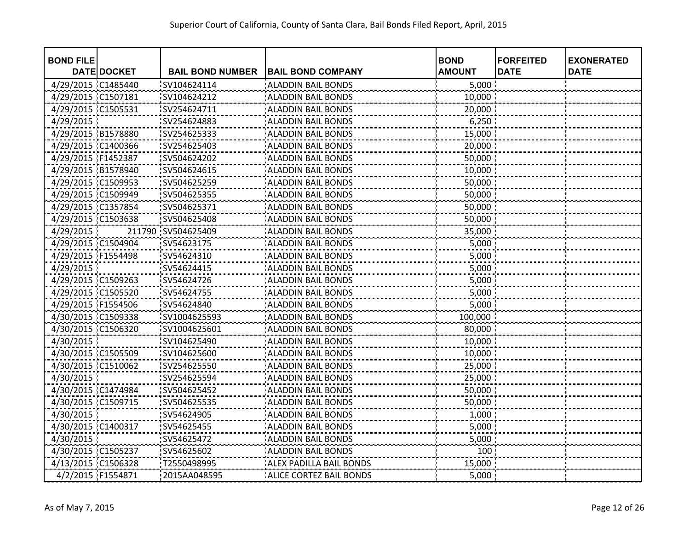| <b>BOND FILE</b>   | <b>DATE DOCKET</b> | <b>BAIL BOND NUMBER</b> | <b>BAIL BOND COMPANY</b>       | <b>BOND</b><br><b>AMOUNT</b> | <b>FORFEITED</b><br><b>DATE</b> | <b>EXONERATED</b><br><b>DATE</b> |
|--------------------|--------------------|-------------------------|--------------------------------|------------------------------|---------------------------------|----------------------------------|
| 4/29/2015 C1485440 |                    | SV104624114             | <b>ALADDIN BAIL BONDS</b>      | 5,000                        |                                 |                                  |
| 4/29/2015 C1507181 |                    | SV104624212             | <b>ALADDIN BAIL BONDS</b>      | 10,000                       |                                 |                                  |
| 4/29/2015 C1505531 |                    | SV254624711             | <b>ALADDIN BAIL BONDS</b>      | 20,000                       |                                 |                                  |
| 4/29/2015          |                    | SV254624883             | <b>ALADDIN BAIL BONDS</b>      | 6,250                        |                                 |                                  |
| 4/29/2015 B1578880 |                    | SV254625333             | <b>ALADDIN BAIL BONDS</b>      | 15,000                       |                                 |                                  |
| 4/29/2015 C1400366 |                    | SV254625403             | <b>ALADDIN BAIL BONDS</b>      | 20,000                       |                                 |                                  |
| 4/29/2015 F1452387 |                    | SV504624202             | <b>ALADDIN BAIL BONDS</b>      | 50,000                       |                                 |                                  |
| 4/29/2015 B1578940 |                    | SV504624615             | <b>ALADDIN BAIL BONDS</b>      | 10,000                       |                                 |                                  |
| 4/29/2015 C1509953 |                    | SV504625259             | <b>ALADDIN BAIL BONDS</b>      | 50,000                       |                                 |                                  |
| 4/29/2015 C1509949 |                    | SV504625355             | <b>ALADDIN BAIL BONDS</b>      | 50,000                       |                                 |                                  |
| 4/29/2015 C1357854 |                    | SV504625371             | <b>ALADDIN BAIL BONDS</b>      | 50,000                       |                                 |                                  |
| 4/29/2015 C1503638 |                    | SV504625408             | <b>ALADDIN BAIL BONDS</b>      | 50,000                       |                                 |                                  |
| 4/29/2015          |                    | 211790 SV504625409      | <b>ALADDIN BAIL BONDS</b>      | 35,000                       |                                 |                                  |
| 4/29/2015 C1504904 |                    | SV54623175              | <b>ALADDIN BAIL BONDS</b>      | 5,000                        |                                 |                                  |
| 4/29/2015 F1554498 |                    | SV54624310              | <b>ALADDIN BAIL BONDS</b>      | 5,000                        |                                 |                                  |
| 4/29/2015          |                    | SV54624415              | <b>ALADDIN BAIL BONDS</b>      | 5,000                        |                                 |                                  |
| 4/29/2015 C1509263 |                    | SV54624726              | <b>ALADDIN BAIL BONDS</b>      | 5,000                        |                                 |                                  |
| 4/29/2015 C1505520 |                    | SV54624755              | <b>ALADDIN BAIL BONDS</b>      | 5,000                        |                                 |                                  |
| 4/29/2015 F1554506 |                    | SV54624840              | <b>ALADDIN BAIL BONDS</b>      | 5,000                        |                                 |                                  |
| 4/30/2015 C1509338 |                    | SV1004625593            | <b>ALADDIN BAIL BONDS</b>      | 100,000                      |                                 |                                  |
| 4/30/2015 C1506320 |                    | SV1004625601            | <b>ALADDIN BAIL BONDS</b>      | 80,000                       |                                 |                                  |
| 4/30/2015          |                    | SV104625490             | <b>ALADDIN BAIL BONDS</b>      | 10,000                       |                                 |                                  |
| 4/30/2015 C1505509 |                    | SV104625600             | <b>ALADDIN BAIL BONDS</b>      | 10,000                       |                                 |                                  |
| 4/30/2015 C1510062 |                    | SV254625550             | <b>ALADDIN BAIL BONDS</b>      | 25,000                       |                                 |                                  |
| 4/30/2015          |                    | SV254625594             | <b>ALADDIN BAIL BONDS</b>      | 25,000                       |                                 |                                  |
| 4/30/2015 C1474984 |                    | SV504625452             | <b>ALADDIN BAIL BONDS</b>      | 50,000                       |                                 |                                  |
| 4/30/2015 C1509715 |                    | SV504625535             | <b>ALADDIN BAIL BONDS</b>      | 50,000                       |                                 |                                  |
| 4/30/2015          |                    | SV54624905              | <b>ALADDIN BAIL BONDS</b>      | 1,000                        |                                 |                                  |
| 4/30/2015 C1400317 |                    | SV54625455              | <b>ALADDIN BAIL BONDS</b>      | 5,000                        |                                 |                                  |
| 4/30/2015          |                    | SV54625472              | <b>ALADDIN BAIL BONDS</b>      | 5,000                        |                                 |                                  |
| 4/30/2015 C1505237 |                    | SV54625602              | <b>ALADDIN BAIL BONDS</b>      | 100 <sub>1</sub>             |                                 |                                  |
| 4/13/2015 C1506328 |                    | T2550498995             | ALEX PADILLA BAIL BONDS        | 15,000                       |                                 |                                  |
| 4/2/2015 F1554871  |                    | 2015AA048595            | <b>ALICE CORTEZ BAIL BONDS</b> | 5,000                        |                                 |                                  |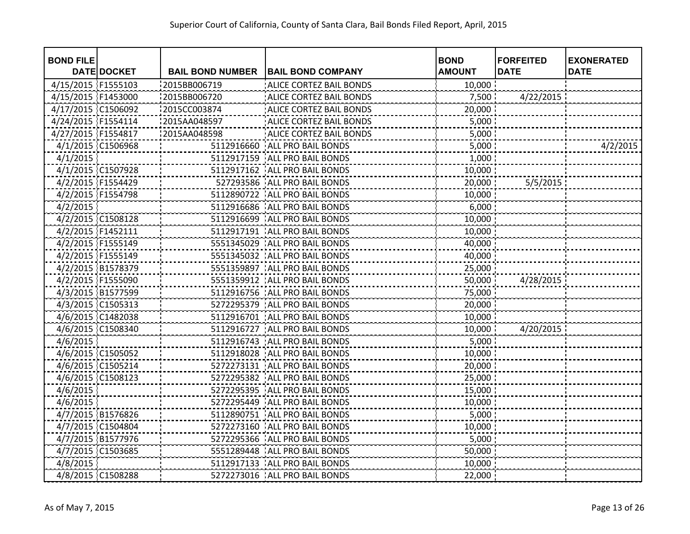| <b>BOND FILE</b>   |                    |                         |                                 | <b>BOND</b>   | <b>FORFEITED</b> | <b>EXONERATED</b> |
|--------------------|--------------------|-------------------------|---------------------------------|---------------|------------------|-------------------|
|                    | <b>DATE DOCKET</b> | <b>BAIL BOND NUMBER</b> | <b>BAIL BOND COMPANY</b>        | <b>AMOUNT</b> | <b>DATE</b>      | <b>DATE</b>       |
| 4/15/2015 F1555103 |                    | 2015BB006719            | <b>ALICE CORTEZ BAIL BONDS</b>  | 10,000        |                  |                   |
| 4/15/2015 F1453000 |                    | 2015BB006720            | <b>ALICE CORTEZ BAIL BONDS</b>  | 7,500         | 4/22/2015        |                   |
| 4/17/2015 C1506092 |                    | 2015CC003874            | ALICE CORTEZ BAIL BONDS         | 20,000        |                  |                   |
| 4/24/2015 F1554114 |                    | 2015AA048597            | ALICE CORTEZ BAIL BONDS         | 5,000         |                  |                   |
| 4/27/2015 F1554817 |                    | 2015AA048598            | ALICE CORTEZ BAIL BONDS         | 5,000         |                  |                   |
| 4/1/2015 C1506968  |                    |                         | 5112916660 ALL PRO BAIL BONDS   | 5,000         |                  | 4/2/2015          |
| 4/1/2015           |                    |                         | 5112917159   ALL PRO BAIL BONDS | 1,000         |                  |                   |
| 4/1/2015 C1507928  |                    |                         | 5112917162   ALL PRO BAIL BONDS | 10,000        |                  |                   |
| 4/2/2015 F1554429  |                    |                         | 527293586   ALL PRO BAIL BONDS  | 20,000        | 5/5/2015         |                   |
| 4/2/2015 F1554798  |                    | 5112890722              | ALL PRO BAIL BONDS              | 10,000        |                  |                   |
| 4/2/2015           |                    | 5112916686              | ALL PRO BAIL BONDS              | 6,000         |                  |                   |
| 4/2/2015 C1508128  |                    | 5112916699              | ALL PRO BAIL BONDS              | 10,000        |                  |                   |
| 4/2/2015 F1452111  |                    |                         | 5112917191   ALL PRO BAIL BONDS | 10,000        |                  |                   |
| 4/2/2015 F1555149  |                    |                         | 5551345029   ALL PRO BAIL BONDS | 40,000        |                  |                   |
| 4/2/2015 F1555149  |                    |                         | 5551345032 ALL PRO BAIL BONDS   | 40,000        |                  |                   |
| 4/2/2015 B1578379  |                    |                         | 5551359897   ALL PRO BAIL BONDS | 25,000        |                  |                   |
| 4/2/2015 F1555090  |                    |                         | 5551359912 ALL PRO BAIL BONDS   | 50,000        | 4/28/2015        |                   |
| 4/3/2015 B1577599  |                    |                         | 5112916756 ALL PRO BAIL BONDS   | 75,000        |                  |                   |
| 4/3/2015 C1505313  |                    |                         | 5272295379 ALL PRO BAIL BONDS   | 20,000        |                  |                   |
| 4/6/2015 C1482038  |                    |                         | 5112916701 ALL PRO BAIL BONDS   | 10,000        |                  |                   |
| 4/6/2015 C1508340  |                    | 5112916727              | ALL PRO BAIL BONDS              | 10,000        | 4/20/2015        |                   |
| 4/6/2015           |                    |                         | 5112916743 ALL PRO BAIL BONDS   | 5,000         |                  |                   |
| 4/6/2015 C1505052  |                    | 5112918028              | ALL PRO BAIL BONDS              | 10,000        |                  |                   |
| 4/6/2015 C1505214  |                    | 5272273131              | ALL PRO BAIL BONDS              | 20,000        |                  |                   |
| 4/6/2015 C1508123  |                    |                         | 5272295382 ALL PRO BAIL BONDS   | 25,000        |                  |                   |
| 4/6/2015           |                    |                         | 5272295395   ALL PRO BAIL BONDS | 15,000        |                  |                   |
| 4/6/2015           |                    | 5272295449              | ALL PRO BAIL BONDS              | 10,000        |                  |                   |
| 4/7/2015 B1576826  |                    | 5112890751              | ALL PRO BAIL BONDS              | 5,000         |                  |                   |
| 4/7/2015 C1504804  |                    | 5272273160              | ALL PRO BAIL BONDS              | 10,000        |                  |                   |
| 4/7/2015 B1577976  |                    | 5272295366              | ALL PRO BAIL BONDS              | 5,000         |                  |                   |
| 4/7/2015 C1503685  |                    | 5551289448              | ALL PRO BAIL BONDS              | 50,000        |                  |                   |
| 4/8/2015           |                    |                         | 5112917133 ALL PRO BAIL BONDS   | 10,000        |                  |                   |
| 4/8/2015 C1508288  |                    |                         | 5272273016   ALL PRO BAIL BONDS | 22,000        |                  |                   |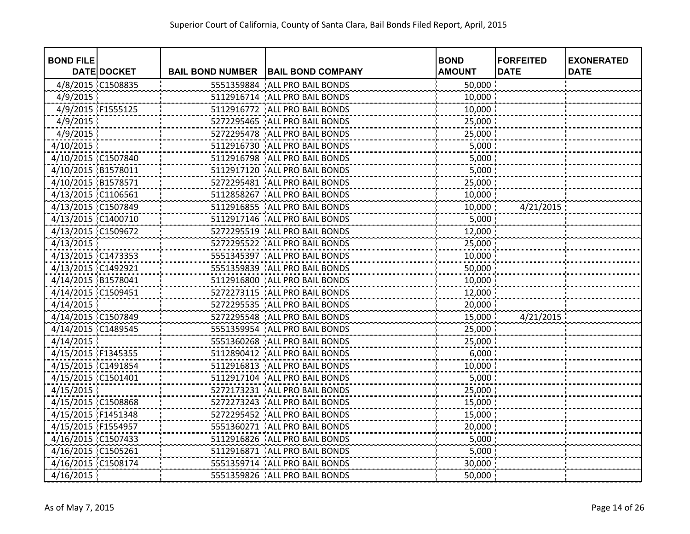| <b>BOND FILE</b>   |                    |                         |                                 | <b>BOND</b>   | <b>FORFEITED</b> | <b>EXONERATED</b> |
|--------------------|--------------------|-------------------------|---------------------------------|---------------|------------------|-------------------|
|                    | <b>DATE DOCKET</b> | <b>BAIL BOND NUMBER</b> | <b>BAIL BOND COMPANY</b>        | <b>AMOUNT</b> | <b>DATE</b>      | <b>DATE</b>       |
| 4/8/2015 C1508835  |                    | 5551359884              | ALL PRO BAIL BONDS              | 50,000        |                  |                   |
| 4/9/2015           |                    | 5112916714              | ALL PRO BAIL BONDS              | 10,000        |                  |                   |
| 4/9/2015 F1555125  |                    | 5112916772              | ALL PRO BAIL BONDS              | 10,000        |                  |                   |
| 4/9/2015           |                    | 5272295465              | ALL PRO BAIL BONDS              | 25,000        |                  |                   |
| 4/9/2015           |                    |                         | 5272295478 ALL PRO BAIL BONDS   | 25,000        |                  |                   |
| 4/10/2015          |                    | 5112916730              | ALL PRO BAIL BONDS              | 5,000         |                  |                   |
| 4/10/2015 C1507840 |                    |                         | 5112916798   ALL PRO BAIL BONDS | 5,000         |                  |                   |
| 4/10/2015 B1578011 |                    | 5112917120              | ALL PRO BAIL BONDS              | 5,000         |                  |                   |
| 4/10/2015 B1578571 |                    | 5272295481              | ALL PRO BAIL BONDS              | 25,000        |                  |                   |
| 4/13/2015 C1106561 |                    | 5112858267              | ALL PRO BAIL BONDS              | 10,000        |                  |                   |
| 4/13/2015 C1507849 |                    | 5112916855              | ALL PRO BAIL BONDS              | 10,000        | 4/21/2015        |                   |
| 4/13/2015 C1400710 |                    |                         | 5112917146 ALL PRO BAIL BONDS   | 5,000         |                  |                   |
| 4/13/2015 C1509672 |                    |                         | 5272295519 ALL PRO BAIL BONDS   | 12,000        |                  |                   |
| 4/13/2015          |                    |                         | 5272295522 ALL PRO BAIL BONDS   | 25,000        |                  |                   |
| 4/13/2015 C1473353 |                    |                         | 5551345397 ALL PRO BAIL BONDS   | 10,000        |                  |                   |
| 4/13/2015 C1492921 |                    |                         | 5551359839 ALL PRO BAIL BONDS   | 50,000        |                  |                   |
| 4/14/2015 B1578041 |                    |                         | 5112916800 ALL PRO BAIL BONDS   | 10,000        |                  |                   |
| 4/14/2015 C1509451 |                    |                         | 5272273115   ALL PRO BAIL BONDS | 12,000        |                  |                   |
| 4/14/2015          |                    |                         | 5272295535 ALL PRO BAIL BONDS   | 20,000        |                  |                   |
| 4/14/2015 C1507849 |                    |                         | 5272295548 ALL PRO BAIL BONDS   | 15,000        | 4/21/2015        |                   |
| 4/14/2015 C1489545 |                    | 5551359954              | ALL PRO BAIL BONDS              | 25,000        |                  |                   |
| 4/14/2015          |                    | 5551360268              | <b>ALL PRO BAIL BONDS</b>       | 25,000        |                  |                   |
| 4/15/2015 F1345355 |                    | 5112890412              | ALL PRO BAIL BONDS              | 6,000         |                  |                   |
| 4/15/2015 C1491854 |                    | 5112916813              | ALL PRO BAIL BONDS              | 10,000        |                  |                   |
| 4/15/2015 C1501401 |                    |                         | 5112917104 ALL PRO BAIL BONDS   | 5,000         |                  |                   |
| 4/15/2015          |                    |                         | 5272173231   ALL PRO BAIL BONDS | 25,000        |                  |                   |
| 4/15/2015 C1508868 |                    | 5272273243              | ALL PRO BAIL BONDS              | 15,000        |                  |                   |
| 4/15/2015 F1451348 |                    | 5272295452              | ALL PRO BAIL BONDS              | 15,000        |                  |                   |
| 4/15/2015 F1554957 |                    | 5551360271              | ALL PRO BAIL BONDS              | 20,000        |                  |                   |
| 4/16/2015 C1507433 |                    | 5112916826              | ALL PRO BAIL BONDS              | 5,000         |                  |                   |
| 4/16/2015 C1505261 |                    | 5112916871              | ALL PRO BAIL BONDS              | 5,000         |                  |                   |
| 4/16/2015 C1508174 |                    |                         | 5551359714   ALL PRO BAIL BONDS | 30,000        |                  |                   |
| 4/16/2015          |                    |                         | 5551359826 ALL PRO BAIL BONDS   | 50,000        |                  |                   |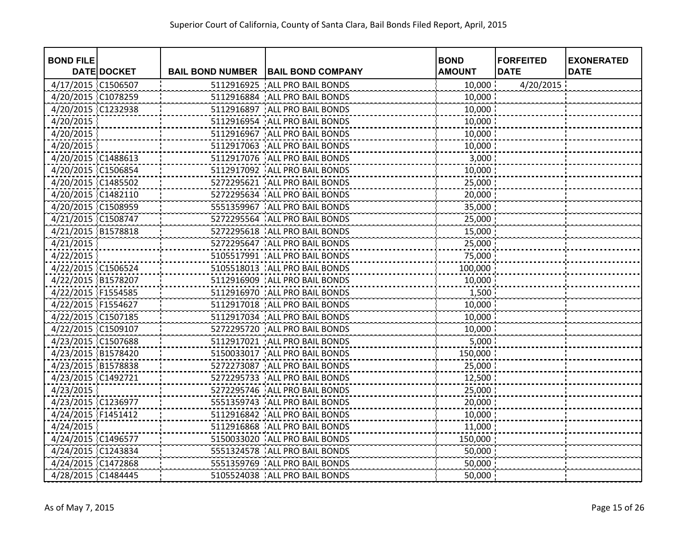| <b>BOND FILE</b>   |                    |                         |                                 | <b>BOND</b>   | <b>FORFEITED</b> | <b>EXONERATED</b> |
|--------------------|--------------------|-------------------------|---------------------------------|---------------|------------------|-------------------|
|                    | <b>DATE DOCKET</b> | <b>BAIL BOND NUMBER</b> | <b>BAIL BOND COMPANY</b>        | <b>AMOUNT</b> | <b>DATE</b>      | <b>DATE</b>       |
| 4/17/2015 C1506507 |                    | 5112916925              | ALL PRO BAIL BONDS              | 10,000        | 4/20/2015        |                   |
| 4/20/2015 C1078259 |                    | 5112916884              | ALL PRO BAIL BONDS              | 10,000        |                  |                   |
| 4/20/2015 C1232938 |                    |                         | 5112916897 ALL PRO BAIL BONDS   | 10,000        |                  |                   |
| 4/20/2015          |                    |                         | 5112916954 ALL PRO BAIL BONDS   | 10,000        |                  |                   |
| 4/20/2015          |                    |                         | 5112916967 ALL PRO BAIL BONDS   | 10,000        |                  |                   |
| 4/20/2015          |                    |                         | 5112917063 ALL PRO BAIL BONDS   | 10,000        |                  |                   |
| 4/20/2015 C1488613 |                    |                         | 5112917076   ALL PRO BAIL BONDS | 3,000         |                  |                   |
| 4/20/2015 C1506854 |                    |                         | 5112917092   ALL PRO BAIL BONDS | 10,000        |                  |                   |
| 4/20/2015 C1485502 |                    | 5272295621              | ALL PRO BAIL BONDS              | 25,000        |                  |                   |
| 4/20/2015 C1482110 |                    |                         | 5272295634 ALL PRO BAIL BONDS   | 20,000        |                  |                   |
| 4/20/2015 C1508959 |                    | 5551359967              | ALL PRO BAIL BONDS              | 35,000        |                  |                   |
| 4/21/2015 C1508747 |                    |                         | 5272295564 ALL PRO BAIL BONDS   | 25,000        |                  |                   |
| 4/21/2015 B1578818 |                    |                         | 5272295618 ALL PRO BAIL BONDS   | 15,000        |                  |                   |
| 4/21/2015          |                    |                         | 5272295647 ALL PRO BAIL BONDS   | 25,000        |                  |                   |
| 4/22/2015          |                    |                         | 5105517991 ALL PRO BAIL BONDS   | 75,000        |                  |                   |
| 4/22/2015 C1506524 |                    |                         | 5105518013 ALL PRO BAIL BONDS   | 100,000       |                  |                   |
| 4/22/2015 B1578207 |                    |                         | 5112916909 ALL PRO BAIL BONDS   | 10,000        |                  |                   |
| 4/22/2015 F1554585 |                    |                         | 5112916970 ALL PRO BAIL BONDS   | 1,500         |                  |                   |
| 4/22/2015 F1554627 |                    |                         | 5112917018   ALL PRO BAIL BONDS | 10,000        |                  |                   |
| 4/22/2015 C1507185 |                    |                         | 5112917034 ALL PRO BAIL BONDS   | 10,000        |                  |                   |
| 4/22/2015 C1509107 |                    |                         | 5272295720 ALL PRO BAIL BONDS   | 10,000        |                  |                   |
| 4/23/2015 C1507688 |                    |                         | 5112917021 ALL PRO BAIL BONDS   | 5,000         |                  |                   |
| 4/23/2015 B1578420 |                    |                         | 5150033017 ALL PRO BAIL BONDS   | 150,000       |                  |                   |
| 4/23/2015 B1578838 |                    |                         | 5272273087 ALL PRO BAIL BONDS   | 25,000        |                  |                   |
| 4/23/2015 C1492721 |                    |                         | 5272295733 ALL PRO BAIL BONDS   | 12,500        |                  |                   |
| 4/23/2015          |                    |                         | 5272295746   ALL PRO BAIL BONDS | 25,000        |                  |                   |
| 4/23/2015 C1236977 |                    |                         | 5551359743   ALL PRO BAIL BONDS | 20,000        |                  |                   |
| 4/24/2015 F1451412 |                    | 5112916842              | <b>ALL PRO BAIL BONDS</b>       | 10,000        |                  |                   |
| 4/24/2015          |                    | 5112916868              | ALL PRO BAIL BONDS              | 11,000        |                  |                   |
| 4/24/2015 C1496577 |                    | 5150033020              | ALL PRO BAIL BONDS              | 150,000       |                  |                   |
| 4/24/2015 C1243834 |                    |                         | 5551324578 ALL PRO BAIL BONDS   | 50,000        |                  |                   |
| 4/24/2015 C1472868 |                    |                         | 5551359769 ALL PRO BAIL BONDS   | 50,000        |                  |                   |
| 4/28/2015 C1484445 |                    |                         | 5105524038 ALL PRO BAIL BONDS   | 50,000        |                  |                   |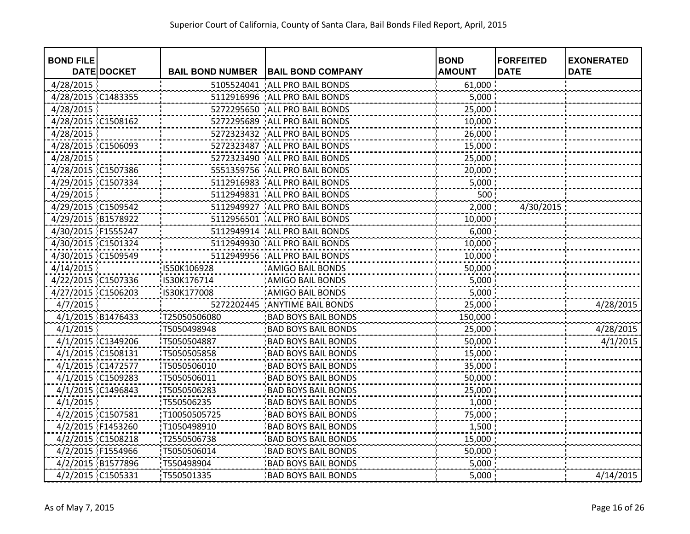| <b>BOND FILE</b>   |                    |                         |                                 | <b>BOND</b>   | <b>FORFEITED</b> | <b>EXONERATED</b> |
|--------------------|--------------------|-------------------------|---------------------------------|---------------|------------------|-------------------|
|                    | <b>DATE DOCKET</b> | <b>BAIL BOND NUMBER</b> | <b>BAIL BOND COMPANY</b>        | <b>AMOUNT</b> | <b>DATE</b>      | <b>DATE</b>       |
| 4/28/2015          |                    | 5105524041              | ALL PRO BAIL BONDS              | 61,000        |                  |                   |
| 4/28/2015 C1483355 |                    | 5112916996              | ALL PRO BAIL BONDS              | 5,000         |                  |                   |
| 4/28/2015          |                    | 5272295650              | ALL PRO BAIL BONDS              | 25,000        |                  |                   |
| 4/28/2015 C1508162 |                    | 5272295689              | ALL PRO BAIL BONDS              | 10,000        |                  |                   |
| 4/28/2015          |                    | 5272323432              | ALL PRO BAIL BONDS              | 26,000        |                  |                   |
| 4/28/2015 C1506093 |                    |                         | 5272323487   ALL PRO BAIL BONDS | 15,000        |                  |                   |
| 4/28/2015          |                    | 5272323490              | ALL PRO BAIL BONDS              | 25,000        |                  |                   |
| 4/28/2015 C1507386 |                    | 5551359756              | ALL PRO BAIL BONDS              | 20,000        |                  |                   |
| 4/29/2015 C1507334 |                    | 5112916983              | ALL PRO BAIL BONDS              | 5,000         |                  |                   |
| 4/29/2015          |                    | 5112949831              | ALL PRO BAIL BONDS              | 500:          |                  |                   |
| 4/29/2015 C1509542 |                    | 5112949927              | ALL PRO BAIL BONDS              | 2,000         | 4/30/2015        |                   |
| 4/29/2015 B1578922 |                    | 5112956501              | ALL PRO BAIL BONDS              | 10,000        |                  |                   |
| 4/30/2015 F1555247 |                    | 5112949914              | ALL PRO BAIL BONDS              | 6,000         |                  |                   |
| 4/30/2015 C1501324 |                    |                         | 5112949930 ALL PRO BAIL BONDS   | 10,000        |                  |                   |
| 4/30/2015 C1509549 |                    |                         | 5112949956 ALL PRO BAIL BONDS   | 10,000        |                  |                   |
| 4/14/2015          |                    | IS50K106928             | <b>AMIGO BAIL BONDS</b>         | 50,000        |                  |                   |
| 4/22/2015 C1507336 |                    | IS30K176714             | <b>AMIGO BAIL BONDS</b>         | 5,000         |                  |                   |
| 4/27/2015 C1506203 |                    | IS30K177008             | <b>AMIGO BAIL BONDS</b>         | 5,000         |                  |                   |
| 4/7/2015           |                    |                         | 5272202445 ANYTIME BAIL BONDS   | 25,000        |                  | 4/28/2015         |
| 4/1/2015 B1476433  |                    | T25050506080            | <b>BAD BOYS BAIL BONDS</b>      | 150,000       |                  |                   |
| 4/1/2015           |                    | T5050498948             | <b>BAD BOYS BAIL BONDS</b>      | 25,000        |                  | 4/28/2015         |
| 4/1/2015 C1349206  |                    | T5050504887             | <b>BAD BOYS BAIL BONDS</b>      | 50,000        |                  | 4/1/2015          |
| 4/1/2015 C1508131  |                    | T5050505858             | <b>BAD BOYS BAIL BONDS</b>      | 15,000        |                  |                   |
| 4/1/2015 C1472577  |                    | T5050506010             | <b>BAD BOYS BAIL BONDS</b>      | 35,000        |                  |                   |
| 4/1/2015 C1509283  |                    | T5050506011             | <b>BAD BOYS BAIL BONDS</b>      | 50,000        |                  |                   |
| 4/1/2015 C1496843  |                    | T5050506283             | <b>BAD BOYS BAIL BONDS</b>      | 25,000        |                  |                   |
| 4/1/2015           |                    | T550506235              | <b>BAD BOYS BAIL BONDS</b>      | 1,000         |                  |                   |
| 4/2/2015 C1507581  |                    | T10050505725            | <b>BAD BOYS BAIL BONDS</b>      | 75,000        |                  |                   |
| 4/2/2015 F1453260  |                    | T1050498910             | <b>BAD BOYS BAIL BONDS</b>      | 1,500         |                  |                   |
| 4/2/2015 C1508218  |                    | T2550506738             | <b>BAD BOYS BAIL BONDS</b>      | 15,000        |                  |                   |
| 4/2/2015 F1554966  |                    | T5050506014             | <b>BAD BOYS BAIL BONDS</b>      | 50,000        |                  |                   |
| 4/2/2015 B1577896  |                    | T550498904              | <b>BAD BOYS BAIL BONDS</b>      | 5,000         |                  |                   |
| 4/2/2015 C1505331  |                    | T550501335              | <b>BAD BOYS BAIL BONDS</b>      | 5,000         |                  | 4/14/2015         |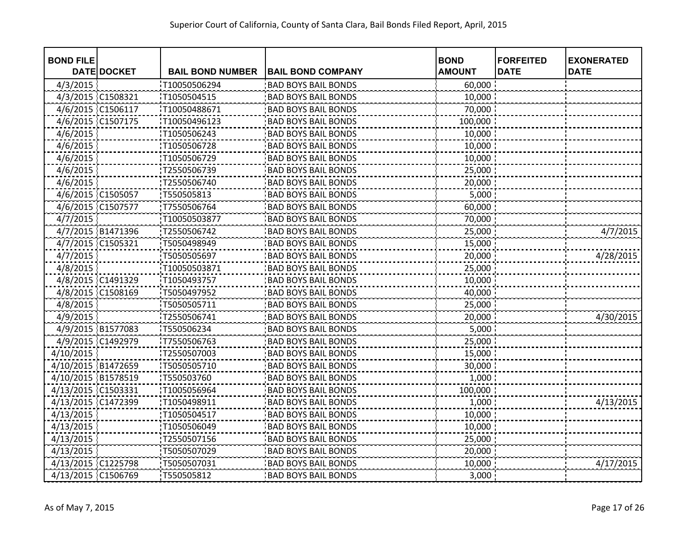| <b>BOND FILE</b>   |                    |                         |                            | <b>BOND</b>   | <b>FORFEITED</b> | <b>EXONERATED</b> |
|--------------------|--------------------|-------------------------|----------------------------|---------------|------------------|-------------------|
|                    | <b>DATE DOCKET</b> | <b>BAIL BOND NUMBER</b> | <b>BAIL BOND COMPANY</b>   | <b>AMOUNT</b> | <b>DATE</b>      | <b>DATE</b>       |
| 4/3/2015           |                    | T10050506294            | <b>BAD BOYS BAIL BONDS</b> | 60,000        |                  |                   |
| 4/3/2015 C1508321  |                    | T1050504515             | <b>BAD BOYS BAIL BONDS</b> | 10,000        |                  |                   |
| 4/6/2015 C1506117  |                    | T10050488671            | <b>BAD BOYS BAIL BONDS</b> | 70,000        |                  |                   |
| 4/6/2015 C1507175  |                    | T10050496123            | <b>BAD BOYS BAIL BONDS</b> | 100,000       |                  |                   |
| 4/6/2015           |                    | T1050506243             | <b>BAD BOYS BAIL BONDS</b> | 10,000        |                  |                   |
| 4/6/2015           |                    | T1050506728             | <b>BAD BOYS BAIL BONDS</b> | 10,000        |                  |                   |
| 4/6/2015           |                    | T1050506729             | <b>BAD BOYS BAIL BONDS</b> | 10,000        |                  |                   |
| 4/6/2015           |                    | T2550506739             | <b>BAD BOYS BAIL BONDS</b> | 25,000        |                  |                   |
| 4/6/2015           |                    | T2550506740             | <b>BAD BOYS BAIL BONDS</b> | 20,000        |                  |                   |
| 4/6/2015 C1505057  |                    | T550505813              | <b>BAD BOYS BAIL BONDS</b> | 5,000         |                  |                   |
| 4/6/2015 C1507577  |                    | T7550506764             | <b>BAD BOYS BAIL BONDS</b> | 60,000        |                  |                   |
| 4/7/2015           |                    | T10050503877            | <b>BAD BOYS BAIL BONDS</b> | 70,000        |                  |                   |
| 4/7/2015 B1471396  |                    | T2550506742             | <b>BAD BOYS BAIL BONDS</b> | 25,000        |                  | 4/7/2015          |
| 4/7/2015 C1505321  |                    | T5050498949             | <b>BAD BOYS BAIL BONDS</b> | 15,000        |                  |                   |
| 4/7/2015           |                    | T5050505697             | <b>BAD BOYS BAIL BONDS</b> | 20,000        |                  | 4/28/2015         |
| 4/8/2015           |                    | T10050503871            | <b>BAD BOYS BAIL BONDS</b> | 25,000        |                  |                   |
| 4/8/2015 C1491329  |                    | T1050493757             | <b>BAD BOYS BAIL BONDS</b> | 10,000        |                  |                   |
| 4/8/2015 C1508169  |                    | T5050497952             | <b>BAD BOYS BAIL BONDS</b> | 40,000        |                  |                   |
| 4/8/2015           |                    | T5050505711             | <b>BAD BOYS BAIL BONDS</b> | 25,000        |                  |                   |
| 4/9/2015           |                    | T2550506741             | <b>BAD BOYS BAIL BONDS</b> | 20,000        |                  | 4/30/2015         |
| 4/9/2015 B1577083  |                    | T550506234              | <b>BAD BOYS BAIL BONDS</b> | 5,000         |                  |                   |
| 4/9/2015 C1492979  |                    | T7550506763             | <b>BAD BOYS BAIL BONDS</b> | 25,000        |                  |                   |
| 4/10/2015          |                    | T2550507003             | <b>BAD BOYS BAIL BONDS</b> | 15,000        |                  |                   |
| 4/10/2015 B1472659 |                    | T5050505710             | <b>BAD BOYS BAIL BONDS</b> | 30,000        |                  |                   |
| 4/10/2015 B1578519 |                    | T550503760              | <b>BAD BOYS BAIL BONDS</b> | 1,000         |                  |                   |
| 4/13/2015 C1503331 |                    | T1005056964             | <b>BAD BOYS BAIL BONDS</b> | 100,000       |                  |                   |
| 4/13/2015 C1472399 |                    | T1050498911             | <b>BAD BOYS BAIL BONDS</b> | 1,000         |                  | 4/13/2015         |
| 4/13/2015          |                    | T1050504517             | <b>BAD BOYS BAIL BONDS</b> | 10,000        |                  |                   |
| 4/13/2015          |                    | T1050506049             | <b>BAD BOYS BAIL BONDS</b> | 10,000        |                  |                   |
| 4/13/2015          |                    | T2550507156             | <b>BAD BOYS BAIL BONDS</b> | 25,000        |                  |                   |
| 4/13/2015          |                    | T5050507029             | <b>BAD BOYS BAIL BONDS</b> | 20,000        |                  |                   |
| 4/13/2015 C1225798 |                    | T5050507031             | <b>BAD BOYS BAIL BONDS</b> | 10,000        |                  | 4/17/2015         |
| 4/13/2015 C1506769 |                    | T550505812              | <b>BAD BOYS BAIL BONDS</b> | 3,000         |                  |                   |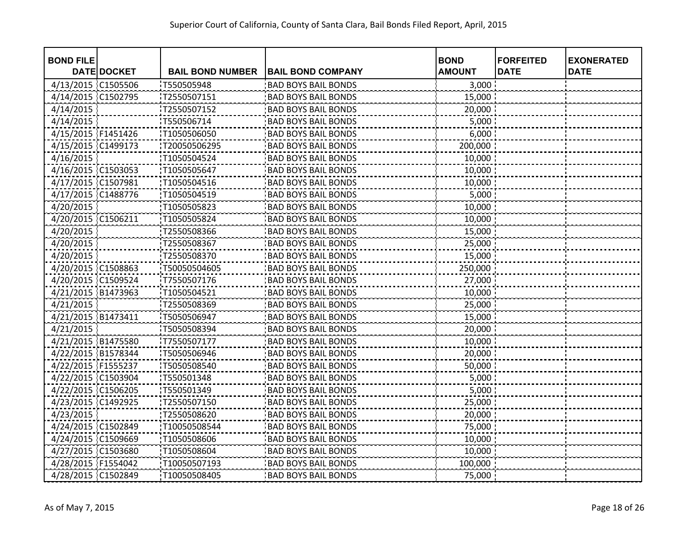| <b>BOND FILE</b>   |                    |                         |                            | <b>BOND</b>   | <b>FORFEITED</b> | <b>EXONERATED</b> |
|--------------------|--------------------|-------------------------|----------------------------|---------------|------------------|-------------------|
|                    | <b>DATE DOCKET</b> | <b>BAIL BOND NUMBER</b> | <b>BAIL BOND COMPANY</b>   | <b>AMOUNT</b> | <b>DATE</b>      | <b>DATE</b>       |
| 4/13/2015 C1505506 |                    | T550505948              | <b>BAD BOYS BAIL BONDS</b> | 3,000         |                  |                   |
| 4/14/2015 C1502795 |                    | T2550507151             | <b>BAD BOYS BAIL BONDS</b> | 15,000        |                  |                   |
| 4/14/2015          |                    | T2550507152             | <b>BAD BOYS BAIL BONDS</b> | 20,000        |                  |                   |
| 4/14/2015          |                    | T550506714              | <b>BAD BOYS BAIL BONDS</b> | 5,000         |                  |                   |
| 4/15/2015 F1451426 |                    | T1050506050             | <b>BAD BOYS BAIL BONDS</b> | 6,000         |                  |                   |
| 4/15/2015 C1499173 |                    | T20050506295            | <b>BAD BOYS BAIL BONDS</b> | 200,000       |                  |                   |
| 4/16/2015          |                    | T1050504524             | <b>BAD BOYS BAIL BONDS</b> | 10,000        |                  |                   |
| 4/16/2015 C1503053 |                    | T1050505647             | <b>BAD BOYS BAIL BONDS</b> | $10,000$ :    |                  |                   |
| 4/17/2015 C1507981 |                    | T1050504516             | <b>BAD BOYS BAIL BONDS</b> | 10,000        |                  |                   |
| 4/17/2015 C1488776 |                    | T1050504519             | <b>BAD BOYS BAIL BONDS</b> | 5,000         |                  |                   |
| 4/20/2015          |                    | T1050505823             | <b>BAD BOYS BAIL BONDS</b> | 10,000        |                  |                   |
| 4/20/2015 C1506211 |                    | T1050505824             | <b>BAD BOYS BAIL BONDS</b> | 10,000        |                  |                   |
| 4/20/2015          |                    | T2550508366             | <b>BAD BOYS BAIL BONDS</b> | 15,000        |                  |                   |
| 4/20/2015          |                    | T2550508367             | <b>BAD BOYS BAIL BONDS</b> | 25,000        |                  |                   |
| 4/20/2015          |                    | T2550508370             | <b>BAD BOYS BAIL BONDS</b> | 15,000        |                  |                   |
| 4/20/2015 C1508863 |                    | T50050504605            | <b>BAD BOYS BAIL BONDS</b> | 250,000       |                  |                   |
| 4/20/2015 C1509524 |                    | T7550507176             | <b>BAD BOYS BAIL BONDS</b> | 27,000        |                  |                   |
| 4/21/2015 B1473963 |                    | T1050504521             | <b>BAD BOYS BAIL BONDS</b> | 10,000        |                  |                   |
| 4/21/2015          |                    | T2550508369             | <b>BAD BOYS BAIL BONDS</b> | 25,000        |                  |                   |
| 4/21/2015 B1473411 |                    | T5050506947             | <b>BAD BOYS BAIL BONDS</b> | 15,000        |                  |                   |
| 4/21/2015          |                    | T5050508394             | <b>BAD BOYS BAIL BONDS</b> | 20,000        |                  |                   |
| 4/21/2015 B1475580 |                    | T7550507177             | <b>BAD BOYS BAIL BONDS</b> | 10,000        |                  |                   |
| 4/22/2015 B1578344 |                    | T5050506946             | <b>BAD BOYS BAIL BONDS</b> | 20,000        |                  |                   |
| 4/22/2015 F1555237 |                    | T5050508540             | <b>BAD BOYS BAIL BONDS</b> | 50,000        |                  |                   |
| 4/22/2015 C1503904 |                    | T550501348              | <b>BAD BOYS BAIL BONDS</b> | 5,000         |                  |                   |
| 4/22/2015 C1506205 |                    | T550501349              | <b>BAD BOYS BAIL BONDS</b> | 5,000         |                  |                   |
| 4/23/2015 C1492925 |                    | T2550507150             | <b>BAD BOYS BAIL BONDS</b> | 25,000        |                  |                   |
| 4/23/2015          |                    | T2550508620             | <b>BAD BOYS BAIL BONDS</b> | 20,000        |                  |                   |
| 4/24/2015 C1502849 |                    | T10050508544            | <b>BAD BOYS BAIL BONDS</b> | 75,000        |                  |                   |
| 4/24/2015 C1509669 |                    | T1050508606             | <b>BAD BOYS BAIL BONDS</b> | 10,000        |                  |                   |
| 4/27/2015 C1503680 |                    | T1050508604             | <b>BAD BOYS BAIL BONDS</b> | 10,000        |                  |                   |
| 4/28/2015 F1554042 |                    | T10050507193            | <b>BAD BOYS BAIL BONDS</b> | 100,000       |                  |                   |
| 4/28/2015 C1502849 |                    | T10050508405            | <b>BAD BOYS BAIL BONDS</b> | 75,000        |                  |                   |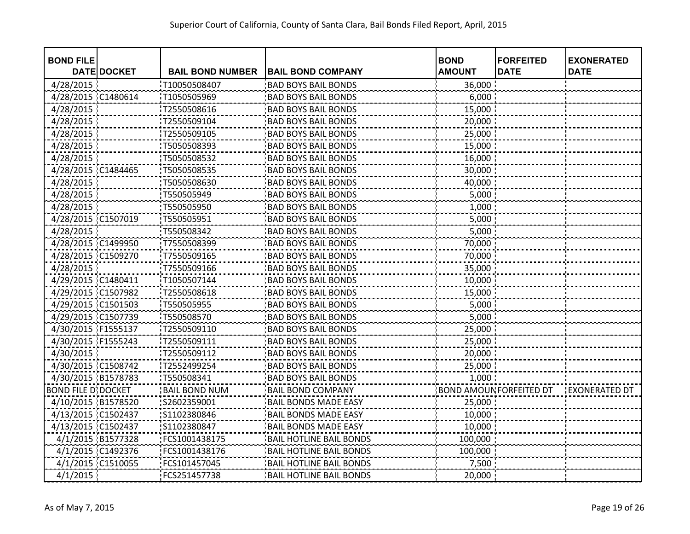| <b>BOND FILE</b>           | <b>DATE DOCKET</b> | <b>BAIL BOND NUMBER</b> | <b>BAIL BOND COMPANY</b>       | <b>BOND</b><br><b>AMOUNT</b> | <b>FORFEITED</b><br><b>DATE</b> | <b>EXONERATED</b><br><b>DATE</b> |
|----------------------------|--------------------|-------------------------|--------------------------------|------------------------------|---------------------------------|----------------------------------|
| 4/28/2015                  |                    | T10050508407            | <b>BAD BOYS BAIL BONDS</b>     | 36,000                       |                                 |                                  |
| 4/28/2015                  | C1480614           | T1050505969             | <b>BAD BOYS BAIL BONDS</b>     | 6,000                        |                                 |                                  |
| 4/28/2015                  |                    | T2550508616             | <b>BAD BOYS BAIL BONDS</b>     | 15,000                       |                                 |                                  |
| 4/28/2015                  |                    | T2550509104             | <b>BAD BOYS BAIL BONDS</b>     | 20,000                       |                                 |                                  |
| 4/28/2015                  |                    | T2550509105             | <b>BAD BOYS BAIL BONDS</b>     | 25,000                       |                                 |                                  |
| 4/28/2015                  |                    | T5050508393             | <b>BAD BOYS BAIL BONDS</b>     | 15,000                       |                                 |                                  |
| 4/28/2015                  |                    | T5050508532             | <b>BAD BOYS BAIL BONDS</b>     | 16,000                       |                                 |                                  |
| 4/28/2015 C1484465         |                    | T5050508535             | <b>BAD BOYS BAIL BONDS</b>     | 30,000                       |                                 |                                  |
| 4/28/2015                  |                    | T5050508630             | <b>BAD BOYS BAIL BONDS</b>     | 40,000                       |                                 |                                  |
| 4/28/2015                  |                    | T550505949              | <b>BAD BOYS BAIL BONDS</b>     | 5,000                        |                                 |                                  |
| 4/28/2015                  |                    | T550505950              | <b>BAD BOYS BAIL BONDS</b>     | 1,000                        |                                 |                                  |
| 4/28/2015 C1507019         |                    | T550505951              | <b>BAD BOYS BAIL BONDS</b>     | 5,000                        |                                 |                                  |
| 4/28/2015                  |                    | T550508342              | <b>BAD BOYS BAIL BONDS</b>     | 5,000                        |                                 |                                  |
| 4/28/2015 C1499950         |                    | T7550508399             | <b>BAD BOYS BAIL BONDS</b>     | 70,000                       |                                 |                                  |
| 4/28/2015 C1509270         |                    | T7550509165             | <b>BAD BOYS BAIL BONDS</b>     | 70,000                       |                                 |                                  |
| 4/28/2015                  |                    | T7550509166             | <b>BAD BOYS BAIL BONDS</b>     | 35,000                       |                                 |                                  |
| 4/29/2015 C1480411         |                    | T1050507144             | <b>BAD BOYS BAIL BONDS</b>     | 10,000                       |                                 |                                  |
| 4/29/2015 C1507982         |                    | T2550508618             | <b>BAD BOYS BAIL BONDS</b>     | 15,000                       |                                 |                                  |
| 4/29/2015 C1501503         |                    | T550505955              | <b>BAD BOYS BAIL BONDS</b>     | 5,000                        |                                 |                                  |
| 4/29/2015 C1507739         |                    | T550508570              | <b>BAD BOYS BAIL BONDS</b>     | 5,000                        |                                 |                                  |
| 4/30/2015 F1555137         |                    | T2550509110             | <b>BAD BOYS BAIL BONDS</b>     | 25,000                       |                                 |                                  |
| 4/30/2015 F1555243         |                    | T2550509111             | <b>BAD BOYS BAIL BONDS</b>     | 25,000                       |                                 |                                  |
| 4/30/2015                  |                    | T2550509112             | <b>BAD BOYS BAIL BONDS</b>     | 20,000                       |                                 |                                  |
| 4/30/2015 C1508742         |                    | T2552499254             | <b>BAD BOYS BAIL BONDS</b>     | 25,000                       |                                 |                                  |
| 4/30/2015 B1578783         |                    | T550508341              | <b>BAD BOYS BAIL BONDS</b>     | 1,000                        |                                 |                                  |
| <b>BOND FILE D' DOCKET</b> |                    | <b>BAIL BOND NUM</b>    | <b>BAIL BOND COMPANY</b>       |                              | BOND AMOUN FORFEITED DT         | <b>EXONERATED DT</b>             |
| 4/10/2015 B1578520         |                    | S2602359001             | <b>BAIL BONDS MADE EASY</b>    | 25,000                       |                                 |                                  |
| 4/13/2015 C1502437         |                    | S1102380846             | <b>BAIL BONDS MADE EASY</b>    | 10,000                       |                                 |                                  |
| 4/13/2015 C1502437         |                    | S1102380847             | <b>BAIL BONDS MADE EASY</b>    | 10,000                       |                                 |                                  |
| 4/1/2015 B1577328          |                    | FCS1001438175           | <b>BAIL HOTLINE BAIL BONDS</b> | 100,000                      |                                 |                                  |
| 4/1/2015 C1492376          |                    | FCS1001438176           | <b>BAIL HOTLINE BAIL BONDS</b> | 100,000                      |                                 |                                  |
| 4/1/2015 C1510055          |                    | FCS101457045            | <b>BAIL HOTLINE BAIL BONDS</b> | 7,500                        |                                 |                                  |
| 4/1/2015                   |                    | FCS251457738            | <b>BAIL HOTLINE BAIL BONDS</b> | 20,000                       |                                 |                                  |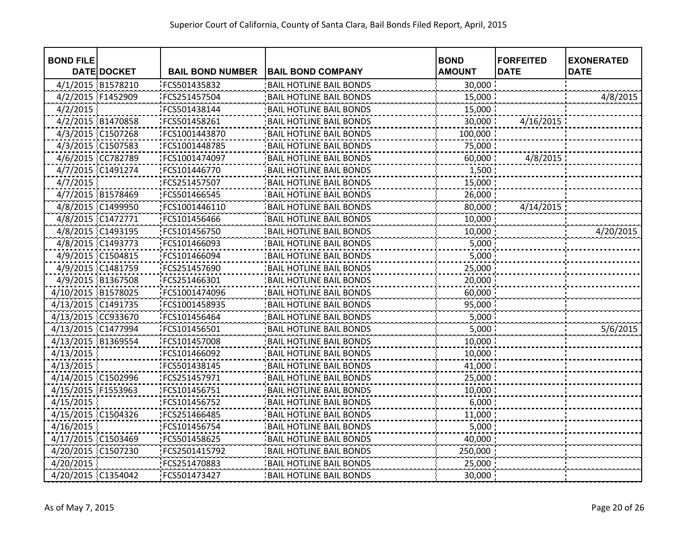| <b>BOND FILE</b>   | <b>DATE DOCKET</b> | <b>BAIL BOND NUMBER</b> | <b>BAIL BOND COMPANY</b>       | <b>BOND</b><br><b>AMOUNT</b> | <b>FORFEITED</b><br><b>DATE</b> | <b>EXONERATED</b><br><b>DATE</b> |
|--------------------|--------------------|-------------------------|--------------------------------|------------------------------|---------------------------------|----------------------------------|
| 4/1/2015 B1578210  |                    | FCS501435832            | <b>BAIL HOTLINE BAIL BONDS</b> | 30,000                       |                                 |                                  |
| 4/2/2015 F1452909  |                    | FCS251457504            | <b>BAIL HOTLINE BAIL BONDS</b> | 15,000                       |                                 | 4/8/2015                         |
| 4/2/2015           |                    | FCS501438144            | <b>BAIL HOTLINE BAIL BONDS</b> | 15,000                       |                                 |                                  |
|                    | 4/2/2015 B1470858  | FCS501458261            | <b>BAIL HOTLINE BAIL BONDS</b> | 30,000                       | 4/16/2015                       |                                  |
|                    | 4/3/2015 C1507268  | FCS1001443870           | <b>BAIL HOTLINE BAIL BONDS</b> | 100,000                      |                                 |                                  |
| 4/3/2015 C1507583  |                    | FCS1001448785           | <b>BAIL HOTLINE BAIL BONDS</b> | 75,000                       |                                 |                                  |
|                    | 4/6/2015 CC782789  | FCS1001474097           | <b>BAIL HOTLINE BAIL BONDS</b> | 60,000                       | 4/8/2015                        |                                  |
|                    | 4/7/2015 C1491274  | FCS101446770            | <b>BAIL HOTLINE BAIL BONDS</b> | 1,500                        |                                 |                                  |
| 4/7/2015           |                    | FCS251457507            | <b>BAIL HOTLINE BAIL BONDS</b> | 15,000                       |                                 |                                  |
|                    | 4/7/2015 B1578469  | FCS501466545            | <b>BAIL HOTLINE BAIL BONDS</b> | 26,000                       |                                 |                                  |
|                    | 4/8/2015 C1499950  | FCS1001446110           | <b>BAIL HOTLINE BAIL BONDS</b> | 80,000                       | 4/14/2015                       |                                  |
| 4/8/2015 C1472771  |                    | FCS101456466            | <b>BAIL HOTLINE BAIL BONDS</b> | 10,000                       |                                 |                                  |
| 4/8/2015 C1493195  |                    | FCS101456750            | <b>BAIL HOTLINE BAIL BONDS</b> | 10,000                       |                                 | 4/20/2015                        |
| 4/8/2015 C1493773  |                    | FCS101466093            | <b>BAIL HOTLINE BAIL BONDS</b> | 5,000                        |                                 |                                  |
| 4/9/2015 C1504815  |                    | FCS101466094            | <b>BAIL HOTLINE BAIL BONDS</b> | 5,000                        |                                 |                                  |
| 4/9/2015 C1481759  |                    | FCS251457690            | <b>BAIL HOTLINE BAIL BONDS</b> | 25,000                       |                                 |                                  |
| 4/9/2015 B1367508  |                    | FCS251466301            | <b>BAIL HOTLINE BAIL BONDS</b> | 20,000                       |                                 |                                  |
| 4/10/2015 B1578025 |                    | FCS1001474096           | <b>BAIL HOTLINE BAIL BONDS</b> | 60,000                       |                                 |                                  |
| 4/13/2015 C1491735 |                    | FCS1001458935           | <b>BAIL HOTLINE BAIL BONDS</b> | 95,000                       |                                 |                                  |
| 4/13/2015 CC933670 |                    | FCS101456464            | <b>BAIL HOTLINE BAIL BONDS</b> | 5,000                        |                                 |                                  |
| 4/13/2015 C1477994 |                    | FCS101456501            | <b>BAIL HOTLINE BAIL BONDS</b> | 5,000                        |                                 | 5/6/2015                         |
| 4/13/2015 B1369554 |                    | FCS101457008            | <b>BAIL HOTLINE BAIL BONDS</b> | 10,000                       |                                 |                                  |
| 4/13/2015          |                    | FCS101466092            | <b>BAIL HOTLINE BAIL BONDS</b> | 10,000                       |                                 |                                  |
| 4/13/2015          |                    | FCS501438145            | <b>BAIL HOTLINE BAIL BONDS</b> | 41,000                       |                                 |                                  |
| 4/14/2015 C1502996 |                    | FCS251457971            | <b>BAIL HOTLINE BAIL BONDS</b> | 25,000                       |                                 |                                  |
| 4/15/2015 F1553963 |                    | FCS101456751            | <b>BAIL HOTLINE BAIL BONDS</b> | 10,000                       |                                 |                                  |
| 4/15/2015          |                    | FCS101456752            | <b>BAIL HOTLINE BAIL BONDS</b> | 6,000                        |                                 |                                  |
| 4/15/2015 C1504326 |                    | FCS251466485            | <b>BAIL HOTLINE BAIL BONDS</b> | 11,000                       |                                 |                                  |
| 4/16/2015          |                    | FCS101456754            | <b>BAIL HOTLINE BAIL BONDS</b> | 5,000                        |                                 |                                  |
| 4/17/2015 C1503469 |                    | FCS501458625            | <b>BAIL HOTLINE BAIL BONDS</b> | 40,000                       |                                 |                                  |
| 4/20/2015 C1507230 |                    | FCS2501415792           | <b>BAIL HOTLINE BAIL BONDS</b> | 250,000                      |                                 |                                  |
| 4/20/2015          |                    | FCS251470883            | <b>BAIL HOTLINE BAIL BONDS</b> | 25,000                       |                                 |                                  |
| 4/20/2015 C1354042 |                    | FCS501473427            | <b>BAIL HOTLINE BAIL BONDS</b> | 30,000                       |                                 |                                  |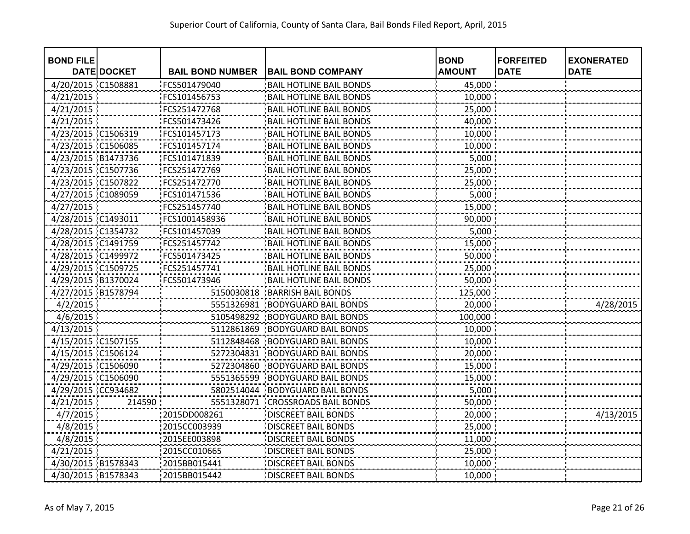| <b>BOND FILE</b>   |             |                         |                                | <b>BOND</b>   | <b>FORFEITED</b> | <b>EXONERATED</b> |
|--------------------|-------------|-------------------------|--------------------------------|---------------|------------------|-------------------|
|                    | DATE DOCKET | <b>BAIL BOND NUMBER</b> | <b>BAIL BOND COMPANY</b>       | <b>AMOUNT</b> | <b>DATE</b>      | <b>DATE</b>       |
| 4/20/2015 C1508881 |             | FCS501479040            | <b>BAIL HOTLINE BAIL BONDS</b> | 45,000        |                  |                   |
| 4/21/2015          |             | FCS101456753            | <b>BAIL HOTLINE BAIL BONDS</b> | 10,000        |                  |                   |
| 4/21/2015          |             | FCS251472768            | <b>BAIL HOTLINE BAIL BONDS</b> | 25,000        |                  |                   |
| 4/21/2015          |             | FCS501473426            | <b>BAIL HOTLINE BAIL BONDS</b> | 40,000        |                  |                   |
| 4/23/2015 C1506319 |             | FCS101457173            | <b>BAIL HOTLINE BAIL BONDS</b> | 10,000        |                  |                   |
| 4/23/2015 C1506085 |             | FCS101457174            | <b>BAIL HOTLINE BAIL BONDS</b> | 10,000        |                  |                   |
| 4/23/2015 B1473736 |             | FCS101471839            | <b>BAIL HOTLINE BAIL BONDS</b> | 5,000         |                  |                   |
| 4/23/2015 C1507736 |             | FCS251472769            | <b>BAIL HOTLINE BAIL BONDS</b> | 25,000        |                  |                   |
| 4/23/2015 C1507822 |             | FCS251472770            | <b>BAIL HOTLINE BAIL BONDS</b> | 25,000        |                  |                   |
| 4/27/2015 C1089059 |             | FCS101471536            | <b>BAIL HOTLINE BAIL BONDS</b> | 5,000         |                  |                   |
| 4/27/2015          |             | FCS251457740            | <b>BAIL HOTLINE BAIL BONDS</b> | 15,000        |                  |                   |
| 4/28/2015 C1493011 |             | FCS1001458936           | <b>BAIL HOTLINE BAIL BONDS</b> | 90,000        |                  |                   |
| 4/28/2015 C1354732 |             | FCS101457039            | <b>BAIL HOTLINE BAIL BONDS</b> | 5,000         |                  |                   |
| 4/28/2015 C1491759 |             | FCS251457742            | <b>BAIL HOTLINE BAIL BONDS</b> | 15,000        |                  |                   |
| 4/28/2015 C1499972 |             | FCS501473425            | <b>BAIL HOTLINE BAIL BONDS</b> | 50,000        |                  |                   |
| 4/29/2015 C1509725 |             | FCS251457741            | <b>BAIL HOTLINE BAIL BONDS</b> | 25,000        |                  |                   |
| 4/29/2015 B1370024 |             | FCS501473946            | <b>BAIL HOTLINE BAIL BONDS</b> | 50,000        |                  |                   |
| 4/27/2015 B1578794 |             | 5150030818              | <b>BARRISH BAIL BONDS</b>      | 125,000       |                  |                   |
| 4/2/2015           |             | 5551326981              | <b>BODYGUARD BAIL BONDS</b>    | 20,000        |                  | 4/28/2015         |
| 4/6/2015           |             | 5105498292              | <b>BODYGUARD BAIL BONDS</b>    | 100,000       |                  |                   |
| 4/13/2015          |             | 5112861869              | <b>BODYGUARD BAIL BONDS</b>    | 10,000        |                  |                   |
| 4/15/2015 C1507155 |             | 5112848468              | <b>BODYGUARD BAIL BONDS</b>    | 10,000        |                  |                   |
| 4/15/2015 C1506124 |             | 5272304831              | <b>BODYGUARD BAIL BONDS</b>    | 20,000        |                  |                   |
| 4/29/2015 C1506090 |             | 5272304860              | <b>BODYGUARD BAIL BONDS</b>    | 15,000        |                  |                   |
| 4/29/2015 C1506090 |             | 5551365599              | <b>BODYGUARD BAIL BONDS</b>    | 15,000        |                  |                   |
| 4/29/2015 CC934682 |             | 5802514044              | <b>BODYGUARD BAIL BONDS</b>    | 5,000         |                  |                   |
| 4/21/2015          | 214590      | 5551328071              | <b>CROSSROADS BAIL BONDS</b>   | 50,000        |                  |                   |
| 4/7/2015           |             | 2015DD008261            | <b>DISCREET BAIL BONDS</b>     | 20,000        |                  | 4/13/2015         |
| 4/8/2015           |             | 2015CC003939            | <b>DISCREET BAIL BONDS</b>     | 25,000        |                  |                   |
| 4/8/2015           |             | 2015EE003898            | <b>DISCREET BAIL BONDS</b>     | 11,000        |                  |                   |
| 4/21/2015          |             | 2015CC010665            | <b>DISCREET BAIL BONDS</b>     | 25,000        |                  |                   |
| 4/30/2015 B1578343 |             | 2015BB015441            | <b>DISCREET BAIL BONDS</b>     | 10,000        |                  |                   |
| 4/30/2015 B1578343 |             | 2015BB015442            | <b>DISCREET BAIL BONDS</b>     | 10,000        |                  |                   |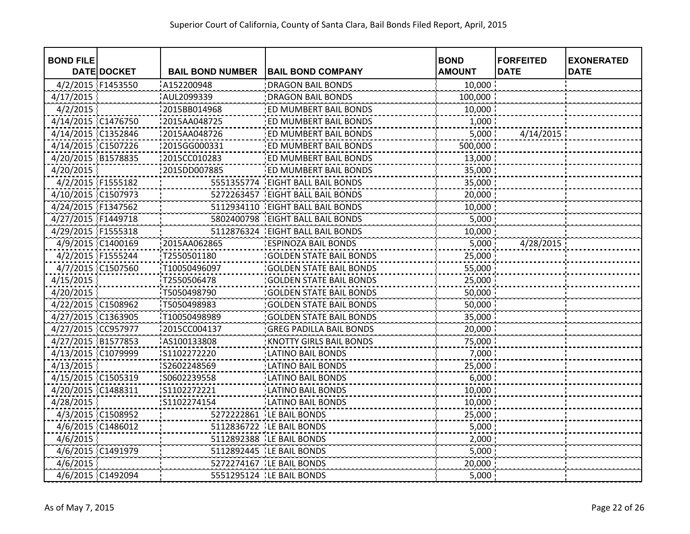| <b>BOND FILE</b>   |                    |                         |                                | <b>BOND</b>   | <b>FORFEITED</b> | <b>EXONERATED</b> |
|--------------------|--------------------|-------------------------|--------------------------------|---------------|------------------|-------------------|
|                    | <b>DATE DOCKET</b> | <b>BAIL BOND NUMBER</b> | <b>BAIL BOND COMPANY</b>       | <b>AMOUNT</b> | <b>DATE</b>      | <b>DATE</b>       |
| 4/2/2015 F1453550  |                    | A152200948              | <b>DRAGON BAIL BONDS</b>       | 10,000        |                  |                   |
| 4/17/2015          |                    | AUL2099339              | <b>DRAGON BAIL BONDS</b>       | 100,000       |                  |                   |
| 4/2/2015           |                    | 2015BB014968            | ED MUMBERT BAIL BONDS          | 10,000        |                  |                   |
| 4/14/2015 C1476750 |                    | 2015AA048725            | ED MUMBERT BAIL BONDS          | 1,000         |                  |                   |
| 4/14/2015 C1352846 |                    | 2015AA048726            | ED MUMBERT BAIL BONDS          | 5,000         | 4/14/2015        |                   |
| 4/14/2015 C1507226 |                    | :2015GG000331           | ED MUMBERT BAIL BONDS          | 500,000       |                  |                   |
| 4/20/2015 B1578835 |                    | 2015CC010283            | ED MUMBERT BAIL BONDS          | 13,000        |                  |                   |
| 4/20/2015          |                    | :2015DD007885           | ED MUMBERT BAIL BONDS          | 35,000 :      |                  |                   |
| 4/2/2015 F1555182  |                    | 5551355774              | <b>EIGHT BALL BAIL BONDS</b>   | 35,000        |                  |                   |
| 4/10/2015 C1507973 |                    | 5272263457              | <b>EIGHT BALL BAIL BONDS</b>   | 20,000        |                  |                   |
| 4/24/2015 F1347562 |                    | 5112934110              | <b>EIGHT BALL BAIL BONDS</b>   | 10,000        |                  |                   |
| 4/27/2015 F1449718 |                    | 5802400798              | <b>EIGHT BALL BAIL BONDS</b>   | 5,000         |                  |                   |
| 4/29/2015 F1555318 |                    | 5112876324              | <b>EIGHT BALL BAIL BONDS</b>   | 10,000        |                  |                   |
| 4/9/2015 C1400169  |                    | 2015AA062865            | <b>ESPINOZA BAIL BONDS</b>     | 5,000         | 4/28/2015        |                   |
| 4/2/2015 F1555244  |                    | T2550501180             | <b>GOLDEN STATE BAIL BONDS</b> | 25,000        |                  |                   |
| 4/7/2015 C1507560  |                    | T10050496097            | <b>GOLDEN STATE BAIL BONDS</b> | 55,000        |                  |                   |
| 4/15/2015          |                    | T2550506478             | <b>GOLDEN STATE BAIL BONDS</b> | 25,000        |                  |                   |
| 4/20/2015          |                    | T5050498790             | <b>GOLDEN STATE BAIL BONDS</b> | 50,000        |                  |                   |
| 4/22/2015 C1508962 |                    | T5050498983             | <b>GOLDEN STATE BAIL BONDS</b> | 50,000        |                  |                   |
| 4/27/2015 C1363905 |                    | T10050498989            | <b>GOLDEN STATE BAIL BONDS</b> | 35,000        |                  |                   |
| 4/27/2015 CC957977 |                    | 2015CC004137            | <b>GREG PADILLA BAIL BONDS</b> | 20,000        |                  |                   |
| 4/27/2015 B1577853 |                    | AS100133808             | <b>KNOTTY GIRLS BAIL BONDS</b> | 75,000        |                  |                   |
| 4/13/2015 C1079999 |                    | S1102272220             | <b>LATINO BAIL BONDS</b>       | 7,000         |                  |                   |
| 4/13/2015          |                    | S2602248569             | <b>LATINO BAIL BONDS</b>       | 25,000        |                  |                   |
| 4/15/2015 C1505319 |                    | S0602239558             | <b>LATINO BAIL BONDS</b>       | 6,000         |                  |                   |
| 4/20/2015 C1488311 |                    | S1102272221             | <b>LATINO BAIL BONDS</b>       | 10,000        |                  |                   |
| 4/28/2015          |                    | S1102274154             | <b>LATINO BAIL BONDS</b>       | 10,000        |                  |                   |
| 4/3/2015 C1508952  |                    | 5272222861              | LE BAIL BONDS                  | 25,000        |                  |                   |
| 4/6/2015 C1486012  |                    | 5112836722              | LE BAIL BONDS                  | 5,000         |                  |                   |
| 4/6/2015           |                    | 5112892388              | LE BAIL BONDS                  | 2,000         |                  |                   |
| 4/6/2015 C1491979  |                    |                         | 5112892445   LE BAIL BONDS     | 5,000         |                  |                   |
| 4/6/2015           |                    |                         | 5272274167 LE BAIL BONDS       | 20,000        |                  |                   |
| 4/6/2015 C1492094  |                    |                         | 5551295124   LE BAIL BONDS     | 5,000         |                  |                   |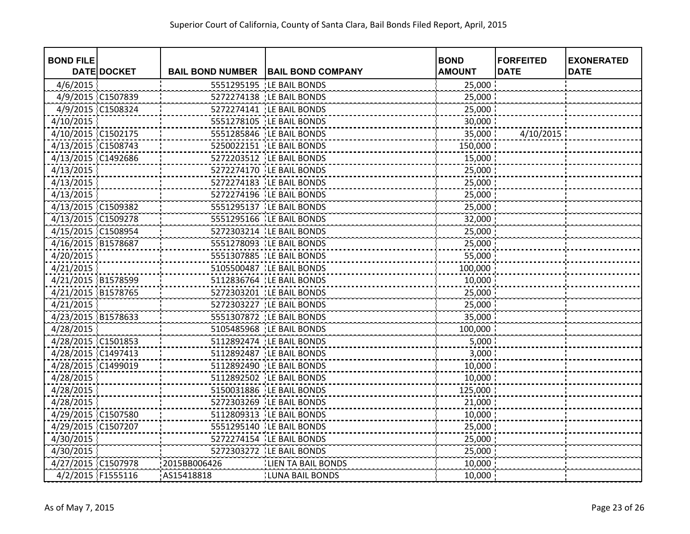| <b>BOND FILE</b>   |                    |                         |                            | <b>BOND</b>   | <b>FORFEITED</b> | <b>EXONERATED</b> |
|--------------------|--------------------|-------------------------|----------------------------|---------------|------------------|-------------------|
|                    | <b>DATE DOCKET</b> | <b>BAIL BOND NUMBER</b> | <b>BAIL BOND COMPANY</b>   | <b>AMOUNT</b> | <b>DATE</b>      | <b>DATE</b>       |
| 4/6/2015           |                    | 5551295195              | LE BAIL BONDS              | 25,000        |                  |                   |
| 4/9/2015 C1507839  |                    |                         | 5272274138 LE BAIL BONDS   | 25,000        |                  |                   |
| 4/9/2015 C1508324  |                    |                         | 5272274141 LE BAIL BONDS   | 25,000        |                  |                   |
| 4/10/2015          |                    |                         | 5551278105 LE BAIL BONDS   | 30,000        |                  |                   |
| 4/10/2015 C1502175 |                    |                         | 5551285846 LE BAIL BONDS   | 35,000        | 4/10/2015        |                   |
| 4/13/2015 C1508743 |                    |                         | 5250022151 LE BAIL BONDS   | 150,000       |                  |                   |
| 4/13/2015 C1492686 |                    |                         | 5272203512   LE BAIL BONDS | 15,000        |                  |                   |
| 4/13/2015          |                    |                         | 5272274170   LE BAIL BONDS | 25,000        |                  |                   |
| 4/13/2015          |                    |                         | 5272274183 LE BAIL BONDS   | 25,000        |                  |                   |
| 4/13/2015          |                    |                         | 5272274196   LE BAIL BONDS | 25,000        |                  |                   |
| 4/13/2015 C1509382 |                    |                         | 5551295137   LE BAIL BONDS | 25,000        |                  |                   |
| 4/13/2015 C1509278 |                    |                         | 5551295166 LE BAIL BONDS   | 32,000        |                  |                   |
| 4/15/2015 C1508954 |                    |                         | 5272303214 LE BAIL BONDS   | 25,000        |                  |                   |
| 4/16/2015 B1578687 |                    |                         | 5551278093 LE BAIL BONDS   | 25,000        |                  |                   |
| 4/20/2015          |                    |                         | 5551307885 LE BAIL BONDS   | 55,000        |                  |                   |
| 4/21/2015          |                    |                         | 5105500487   LE BAIL BONDS | 100,000       |                  |                   |
| 4/21/2015 B1578599 |                    |                         | 5112836764 LE BAIL BONDS   | 10,000        |                  |                   |
| 4/21/2015 B1578765 |                    |                         | 5272303201   LE BAIL BONDS | 25,000        |                  |                   |
| 4/21/2015          |                    |                         | 5272303227   LE BAIL BONDS | 25,000        |                  |                   |
| 4/23/2015 B1578633 |                    |                         | 5551307872 LE BAIL BONDS   | 35,000        |                  |                   |
| 4/28/2015          |                    |                         | 5105485968 LE BAIL BONDS   | 100,000       |                  |                   |
| 4/28/2015 C1501853 |                    |                         | 5112892474 LE BAIL BONDS   | 5,000         |                  |                   |
| 4/28/2015 C1497413 |                    |                         | 5112892487 LE BAIL BONDS   | 3,000         |                  |                   |
| 4/28/2015 C1499019 |                    |                         | 5112892490 LE BAIL BONDS   | 10,000        |                  |                   |
| 4/28/2015          |                    |                         | 5112892502 LE BAIL BONDS   | 10,000        |                  |                   |
| 4/28/2015          |                    |                         | 5150031886   LE BAIL BONDS | 125,000       |                  |                   |
| 4/28/2015          |                    |                         | 5272303269   LE BAIL BONDS | 21,000        |                  |                   |
| 4/29/2015 C1507580 |                    | 5112809313              | LE BAIL BONDS              | 10,000        |                  |                   |
| 4/29/2015 C1507207 |                    |                         | 5551295140 LE BAIL BONDS   | 25,000        |                  |                   |
| 4/30/2015          |                    |                         | 5272274154 LE BAIL BONDS   | 25,000        |                  |                   |
| 4/30/2015          |                    |                         | 5272303272 LE BAIL BONDS   | 25,000        |                  |                   |
| 4/27/2015 C1507978 |                    | 2015BB006426            | LIEN TA BAIL BONDS         | 10,000        |                  |                   |
| 4/2/2015 F1555116  |                    | AS15418818              | <b>LUNA BAIL BONDS</b>     | 10,000        |                  |                   |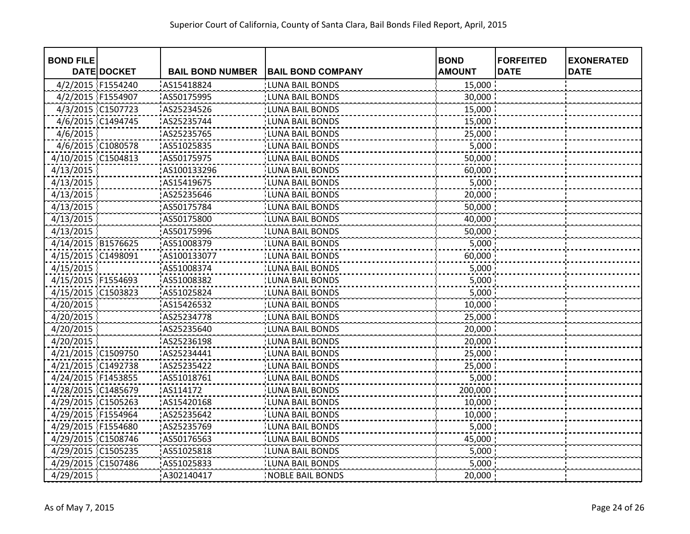| <b>BOND FILE</b>   | <b>DATE DOCKET</b> | <b>BAIL BOND NUMBER</b> | <b>BAIL BOND COMPANY</b> | <b>BOND</b><br><b>AMOUNT</b> | <b>FORFEITED</b><br><b>DATE</b> | <b>EXONERATED</b><br><b>DATE</b> |
|--------------------|--------------------|-------------------------|--------------------------|------------------------------|---------------------------------|----------------------------------|
| 4/2/2015 F1554240  |                    | AS15418824              | <b>LUNA BAIL BONDS</b>   | 15,000                       |                                 |                                  |
| 4/2/2015 F1554907  |                    | AS50175995              | <b>LUNA BAIL BONDS</b>   | 30,000                       |                                 |                                  |
| 4/3/2015 C1507723  |                    | AS25234526              | <b>LUNA BAIL BONDS</b>   | 15,000                       |                                 |                                  |
|                    |                    | AS25235744              | <b>LUNA BAIL BONDS</b>   | 15,000                       |                                 |                                  |
| 4/6/2015 C1494745  |                    |                         | <b>LUNA BAIL BONDS</b>   |                              |                                 |                                  |
| 4/6/2015           |                    | AS25235765              |                          | 25,000                       |                                 |                                  |
|                    | 4/6/2015 C1080578  | AS51025835              | <b>LUNA BAIL BONDS</b>   | 5,000                        |                                 |                                  |
| 4/10/2015 C1504813 |                    | AS50175975              | LUNA BAIL BONDS          | 50,000                       |                                 |                                  |
| 4/13/2015          |                    | AS100133296             | <b>LUNA BAIL BONDS</b>   | 60,000                       |                                 |                                  |
| 4/13/2015          |                    | AS15419675              | <b>LUNA BAIL BONDS</b>   | 5,000                        |                                 |                                  |
| 4/13/2015          |                    | AS25235646              | <b>LUNA BAIL BONDS</b>   | 20,000                       |                                 |                                  |
| 4/13/2015          |                    | AS50175784              | <b>LUNA BAIL BONDS</b>   | 50,000                       |                                 |                                  |
| 4/13/2015          |                    | AS50175800              | <b>LUNA BAIL BONDS</b>   | 40,000                       |                                 |                                  |
| 4/13/2015          |                    | AS50175996              | <b>LUNA BAIL BONDS</b>   | 50,000                       |                                 |                                  |
| 4/14/2015 B1576625 |                    | AS51008379              | <b>LUNA BAIL BONDS</b>   | 5,000                        |                                 |                                  |
| 4/15/2015 C1498091 |                    | AS100133077             | <b>LUNA BAIL BONDS</b>   | 60,000                       |                                 |                                  |
| 4/15/2015          |                    | AS51008374              | <b>LUNA BAIL BONDS</b>   | 5,000                        |                                 |                                  |
| 4/15/2015 F1554693 |                    | AS51008382              | <b>LUNA BAIL BONDS</b>   | 5,000                        |                                 |                                  |
| 4/15/2015 C1503823 |                    | AS51025824              | <b>LUNA BAIL BONDS</b>   | 5,000                        |                                 |                                  |
| 4/20/2015          |                    | AS15426532              | <b>LUNA BAIL BONDS</b>   | 10,000                       |                                 |                                  |
| 4/20/2015          |                    | AS25234778              | <b>LUNA BAIL BONDS</b>   | 25,000                       |                                 |                                  |
| 4/20/2015          |                    | AS25235640              | <b>LUNA BAIL BONDS</b>   | 20,000                       |                                 |                                  |
| 4/20/2015          |                    | AS25236198              | <b>LUNA BAIL BONDS</b>   | 20,000                       |                                 |                                  |
| 4/21/2015 C1509750 |                    | AS25234441              | <b>LUNA BAIL BONDS</b>   | 25,000                       |                                 |                                  |
| 4/21/2015 C1492738 |                    | AS25235422              | <b>LUNA BAIL BONDS</b>   | 25,000                       |                                 |                                  |
| 4/24/2015 F1453855 |                    | AS51018761              | LUNA BAIL BONDS          | 5,000                        |                                 |                                  |
| 4/28/2015 C1485679 |                    | AS114172                | <b>LUNA BAIL BONDS</b>   | 200,000                      |                                 |                                  |
| 4/29/2015 C1505263 |                    | AS15420168              | <b>LUNA BAIL BONDS</b>   | 10,000                       |                                 |                                  |
| 4/29/2015 F1554964 |                    | AS25235642              | <b>LUNA BAIL BONDS</b>   | 10,000                       |                                 |                                  |
| 4/29/2015 F1554680 |                    | AS25235769              | <b>LUNA BAIL BONDS</b>   | 5,000                        |                                 |                                  |
| 4/29/2015 C1508746 |                    | AS50176563              | <b>LUNA BAIL BONDS</b>   | 45,000                       |                                 |                                  |
| 4/29/2015 C1505235 |                    | AS51025818              | <b>LUNA BAIL BONDS</b>   | 5,000                        |                                 |                                  |
| 4/29/2015 C1507486 |                    | AS51025833              | <b>LUNA BAIL BONDS</b>   | 5,000                        |                                 |                                  |
| 4/29/2015          |                    | A302140417              | <b>NOBLE BAIL BONDS</b>  | 20,000                       |                                 |                                  |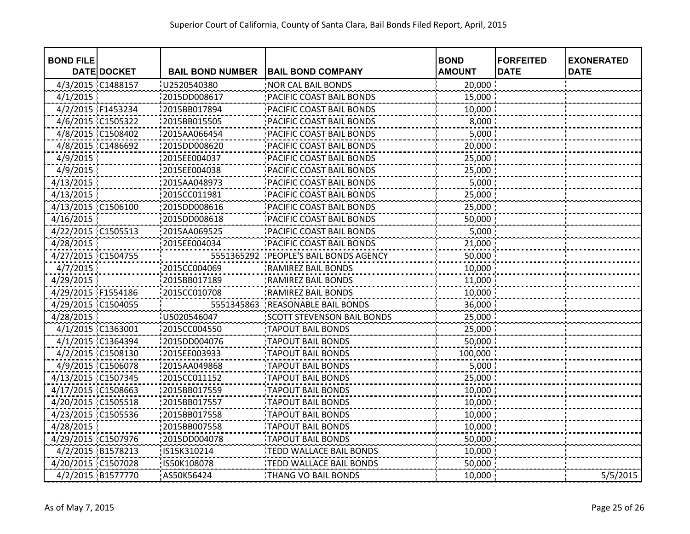| <b>BOND FILE</b>   |                    |                         |                                       | <b>BOND</b>   | <b>FORFEITED</b> | <b>EXONERATED</b> |
|--------------------|--------------------|-------------------------|---------------------------------------|---------------|------------------|-------------------|
|                    | <b>DATE DOCKET</b> | <b>BAIL BOND NUMBER</b> | <b>BAIL BOND COMPANY</b>              | <b>AMOUNT</b> | <b>DATE</b>      | <b>DATE</b>       |
| 4/3/2015 C1488157  |                    | U2520540380             | <b>NOR CAL BAIL BONDS</b>             | 20,000        |                  |                   |
| 4/1/2015           |                    | 2015DD008617            | PACIFIC COAST BAIL BONDS              | 15,000        |                  |                   |
| 4/2/2015 F1453234  |                    | 2015BB017894            | PACIFIC COAST BAIL BONDS              | 10,000        |                  |                   |
| 4/6/2015 C1505322  |                    | 2015BB015505            | PACIFIC COAST BAIL BONDS              | 8,000         |                  |                   |
| 4/8/2015 C1508402  |                    | 2015AA066454            | PACIFIC COAST BAIL BONDS              | 5,000         |                  |                   |
| 4/8/2015 C1486692  |                    | 2015DD008620            | PACIFIC COAST BAIL BONDS              | 20,000        |                  |                   |
| 4/9/2015           |                    | 2015EE004037            | PACIFIC COAST BAIL BONDS              | 25,000        |                  |                   |
| 4/9/2015           |                    | 12015EE004038           | PACIFIC COAST BAIL BONDS              | 25,000 :      |                  |                   |
| 4/13/2015          |                    | 2015AA048973            | PACIFIC COAST BAIL BONDS              | 5,000         |                  |                   |
| 4/13/2015          |                    | 2015CC011981            | PACIFIC COAST BAIL BONDS              | 25,000        |                  |                   |
| 4/13/2015 C1506100 |                    | 2015DD008616            | PACIFIC COAST BAIL BONDS              | 25,000        |                  |                   |
| 4/16/2015          |                    | 2015DD008618            | PACIFIC COAST BAIL BONDS              | 50,000        |                  |                   |
| 4/22/2015 C1505513 |                    | 2015AA069525            | PACIFIC COAST BAIL BONDS              | 5,000         |                  |                   |
| 4/28/2015          |                    | 2015EE004034            | PACIFIC COAST BAIL BONDS              | 21,000        |                  |                   |
| 4/27/2015 C1504755 |                    |                         | 5551365292 PEOPLE'S BAIL BONDS AGENCY | 50,000        |                  |                   |
| 4/7/2015           |                    | 2015CC004069            | RAMIREZ BAIL BONDS                    | 10,000        |                  |                   |
| 4/29/2015          |                    | 2015BB017189            | RAMIREZ BAIL BONDS                    | 11,000        |                  |                   |
| 4/29/2015 F1554186 |                    | 2015CC010708            | RAMIREZ BAIL BONDS                    | 10,000        |                  |                   |
| 4/29/2015 C1504055 |                    |                         | 5551345863 REASONABLE BAIL BONDS      | 36,000        |                  |                   |
| 4/28/2015          |                    | U5020546047             | <b>SCOTT STEVENSON BAIL BONDS</b>     | 25,000        |                  |                   |
| 4/1/2015 C1363001  |                    | 2015CC004550            | <b>TAPOUT BAIL BONDS</b>              | 25,000        |                  |                   |
| 4/1/2015 C1364394  |                    | 2015DD004076            | <b>TAPOUT BAIL BONDS</b>              | 50,000        |                  |                   |
| 4/2/2015 C1508130  |                    | 2015EE003933            | <b>TAPOUT BAIL BONDS</b>              | 100,000       |                  |                   |
| 4/9/2015 C1506078  |                    | 2015AA049868            | <b>TAPOUT BAIL BONDS</b>              | 5,000         |                  |                   |
| 4/13/2015 C1507345 |                    | 2015CC011152            | <b>TAPOUT BAIL BONDS</b>              | 25,000        |                  |                   |
| 4/17/2015 C1508663 |                    | 2015BB017559            | <b>TAPOUT BAIL BONDS</b>              | 10,000        |                  |                   |
| 4/20/2015 C1505518 |                    | 2015BB017557            | <b>TAPOUT BAIL BONDS</b>              | 10,000        |                  |                   |
| 4/23/2015 C1505536 |                    | 2015BB017558            | <b>TAPOUT BAIL BONDS</b>              | 10,000        |                  |                   |
| 4/28/2015          |                    | 2015BB007558            | <b>TAPOUT BAIL BONDS</b>              | 10,000        |                  |                   |
| 4/29/2015 C1507976 |                    | 2015DD004078            | <b>TAPOUT BAIL BONDS</b>              | 50,000        |                  |                   |
| 4/2/2015 B1578213  |                    | IS15K310214             | TEDD WALLACE BAIL BONDS               | 10,000        |                  |                   |
| 4/20/2015 C1507028 |                    | IS50K108078             | TEDD WALLACE BAIL BONDS               | 50,000        |                  |                   |
|                    | 4/2/2015 B1577770  | AS50K56424              | THANG VO BAIL BONDS                   | 10,000        |                  | 5/5/2015          |